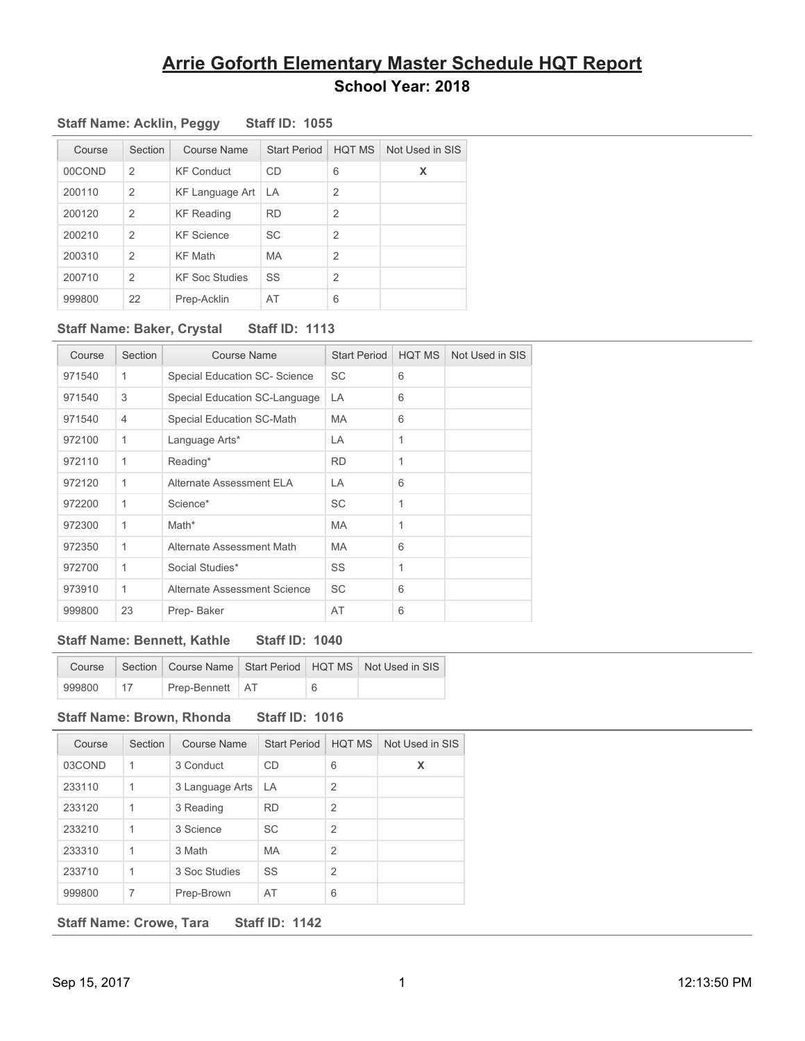| Course | Section        | Course Name            | <b>Start Period</b> | <b>HQT MS</b>  | Not Used in SIS |
|--------|----------------|------------------------|---------------------|----------------|-----------------|
| 00COND | $\mathcal{P}$  | <b>KF Conduct</b>      | CD                  | 6              | X               |
| 200110 | 2              | <b>KF Language Art</b> | LA                  | $\overline{2}$ |                 |
| 200120 | $\overline{2}$ | <b>KF Reading</b>      | <b>RD</b>           | $\overline{2}$ |                 |
| 200210 | $\mathcal{P}$  | <b>KF</b> Science      | <b>SC</b>           | 2              |                 |
| 200310 | $\mathcal{P}$  | <b>KF Math</b>         | <b>MA</b>           | $\overline{2}$ |                 |
| 200710 | $\mathcal{P}$  | <b>KF Soc Studies</b>  | SS                  | $\overline{2}$ |                 |
| 999800 | 22             | Prep-Acklin            | AT                  | 6              |                 |

### **Staff Name: Acklin, Peggy Staff ID: 1055**

### **Staff Name: Baker, Crystal Staff ID: 1113**

| Course | Section     | <b>Course Name</b>            | <b>Start Period</b> | HQT MS       | Not Used in SIS |
|--------|-------------|-------------------------------|---------------------|--------------|-----------------|
| 971540 | 1           | Special Education SC- Science | <b>SC</b>           | 6            |                 |
| 971540 | 3           | Special Education SC-Language | LA                  | 6            |                 |
| 971540 | 4           | Special Education SC-Math     | MA                  | 6            |                 |
| 972100 | 1           | Language Arts*                | LA                  | 1            |                 |
| 972110 | 1           | Reading*                      | <b>RD</b>           | 1            |                 |
| 972120 | 1           | Alternate Assessment ELA      | LA                  | 6            |                 |
| 972200 | $\mathbf 1$ | Science*                      | SC                  | 1            |                 |
| 972300 | 1           | Math*                         | <b>MA</b>           | $\mathbf{1}$ |                 |
| 972350 | 1           | Alternate Assessment Math     | MA                  | 6            |                 |
| 972700 | 1           | Social Studies*               | SS                  | 1            |                 |
| 973910 | 1           | Alternate Assessment Science  | SC                  | 6            |                 |
| 999800 | 23          | Prep-Baker                    | AT                  | 6            |                 |

### **Staff Name: Bennett, Kathle Staff ID: 1040**

| Course | Section |                   |  | Course Name   Start Period   HQT MS   Not Used in SIS |
|--------|---------|-------------------|--|-------------------------------------------------------|
| 999800 |         | Prep-Bennett   AT |  |                                                       |

### **Staff Name: Brown, Rhonda Staff ID: 1016**

| Course | Section | Course Name     | <b>Start Period</b> | <b>HOT MS</b>  | Not Used in SIS |
|--------|---------|-----------------|---------------------|----------------|-----------------|
| 03COND | 1       | 3 Conduct       | <b>CD</b>           | 6              | X               |
| 233110 | 1       | 3 Language Arts | LA                  | $\overline{2}$ |                 |
| 233120 | 1       | 3 Reading       | <b>RD</b>           | $\overline{2}$ |                 |
| 233210 | 1       | 3 Science       | <b>SC</b>           | $\mathcal{P}$  |                 |
| 233310 | 1       | 3 Math          | <b>MA</b>           | $\overline{2}$ |                 |
| 233710 | 1       | 3 Soc Studies   | SS                  | $\overline{2}$ |                 |
| 999800 | 7       | Prep-Brown      | AT                  | 6              |                 |

**Staff Name: Crowe, Tara Staff ID: 1142**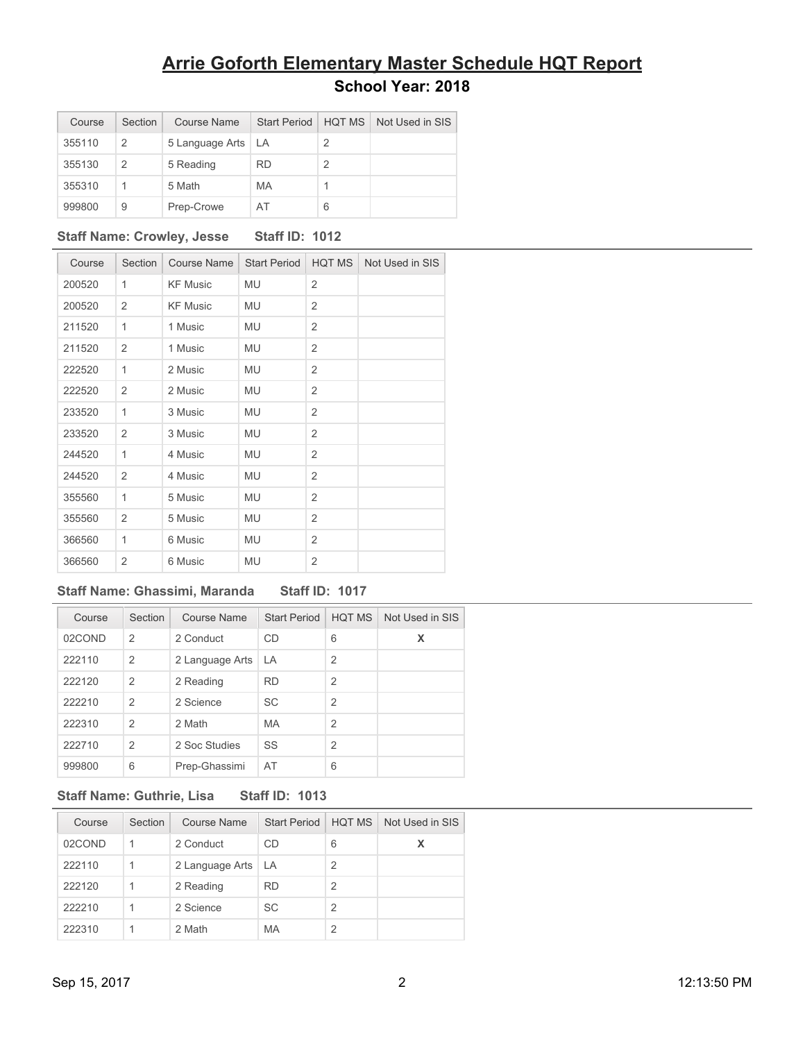| Course | Section | Course Name     | Start Period | <b>HOT MS</b> | Not Used in SIS |
|--------|---------|-----------------|--------------|---------------|-----------------|
| 355110 | 2       | 5 Language Arts | LA.          | 2             |                 |
| 355130 | 2       | 5 Reading       | <b>RD</b>    | 2             |                 |
| 355310 | 1       | 5 Math          | <b>MA</b>    |               |                 |
| 999800 | 9       | Prep-Crowe      | AT           | 6             |                 |

### **Staff Name: Crowley, Jesse Staff ID: 1012**

| Course | Section        | Course Name     | <b>Start Period</b> | HQT MS         | Not Used in SIS |
|--------|----------------|-----------------|---------------------|----------------|-----------------|
| 200520 | 1              | <b>KF Music</b> | <b>MU</b>           | $\overline{2}$ |                 |
| 200520 | $\overline{2}$ | <b>KF Music</b> | MU                  | $\overline{2}$ |                 |
| 211520 | 1              | 1 Music         | MU                  | $\overline{2}$ |                 |
| 211520 | $\overline{2}$ | 1 Music         | MU                  | $\overline{2}$ |                 |
| 222520 | 1              | 2 Music         | MU                  | 2              |                 |
| 222520 | $\overline{2}$ | 2 Music         | MU                  | $\overline{2}$ |                 |
| 233520 | 1              | 3 Music         | MU                  | 2              |                 |
| 233520 | $\overline{2}$ | 3 Music         | MU                  | $\overline{2}$ |                 |
| 244520 | 1              | 4 Music         | MU                  | 2              |                 |
| 244520 | $\overline{2}$ | 4 Music         | MU                  | $\overline{2}$ |                 |
| 355560 | 1              | 5 Music         | MU                  | 2              |                 |
| 355560 | $\overline{2}$ | 5 Music         | MU                  | 2              |                 |
| 366560 | 1              | 6 Music         | MU                  | 2              |                 |
| 366560 | $\overline{2}$ | 6 Music         | MU                  | 2              |                 |

#### **Staff Name: Ghassimi, Maranda Staff ID: 1017**

| Course | Section        | Course Name     | <b>Start Period</b> | <b>HOT MS</b>  | Not Used in SIS |
|--------|----------------|-----------------|---------------------|----------------|-----------------|
| 02COND | 2              | 2 Conduct       | <b>CD</b>           | 6              | X               |
| 222110 | $\overline{2}$ | 2 Language Arts | LA                  | $\mathcal{P}$  |                 |
| 222120 | 2              | 2 Reading       | <b>RD</b>           | $\overline{2}$ |                 |
| 222210 | 2              | 2 Science       | SC                  | $\mathfrak{p}$ |                 |
| 222310 | $\mathcal{P}$  | 2 Math          | <b>MA</b>           | $\mathcal{P}$  |                 |
| 222710 | $\mathcal{P}$  | 2 Soc Studies   | SS                  | $\overline{2}$ |                 |
| 999800 | 6              | Prep-Ghassimi   | AT                  | 6              |                 |

### **Staff Name: Guthrie, Lisa Staff ID: 1013**

| Course | Section | Course Name          | <b>Start Period</b> | <b>HQT MS</b> | Not Used in SIS |
|--------|---------|----------------------|---------------------|---------------|-----------------|
| 02COND | 1       | 2 Conduct            | CD.                 | 6             | X               |
| 222110 |         | 2 Language Arts   LA |                     | 2             |                 |
| 222120 |         | 2 Reading            | <b>RD</b>           | 2             |                 |
| 222210 |         | 2 Science            | <b>SC</b>           | 2             |                 |
| 222310 |         | 2 Math               | MA                  |               |                 |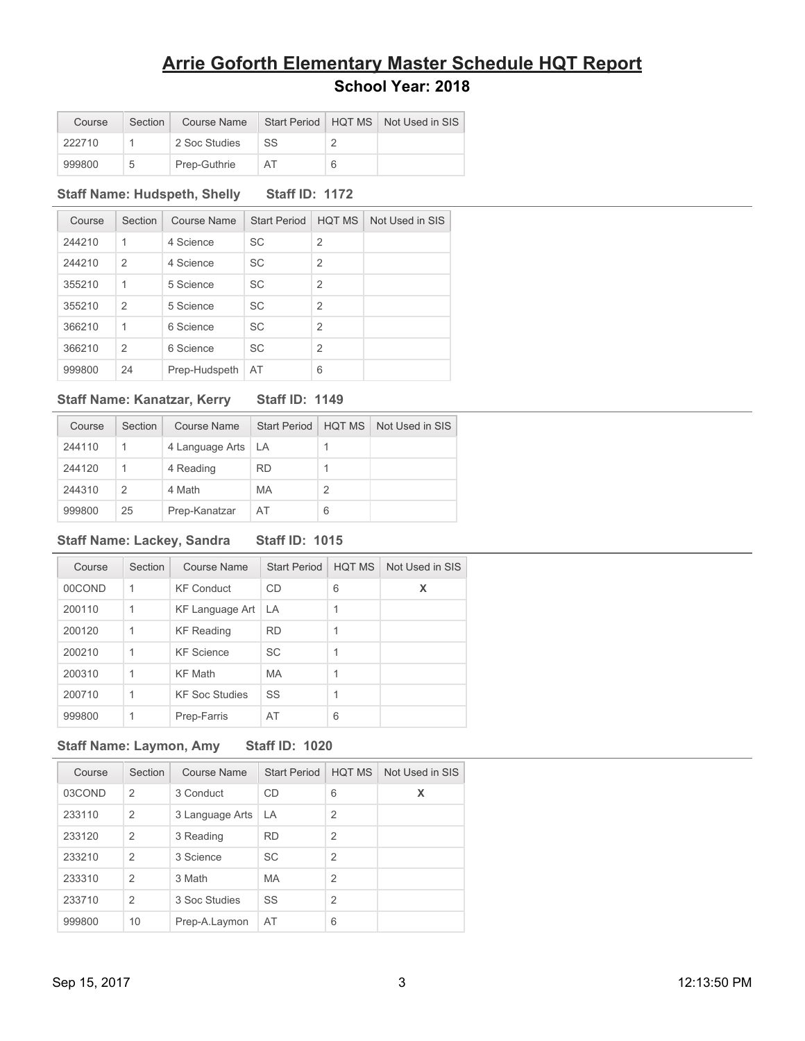| Course | Section |               |     | Course Name   Start Period   HQT MS   Not Used in SIS |
|--------|---------|---------------|-----|-------------------------------------------------------|
| 222710 |         | 2 Soc Studies | `SS |                                                       |
| 999800 | 5       | Prep-Guthrie  | AT  |                                                       |

### **Staff Name: Hudspeth, Shelly Staff ID: 1172**

| Course | Section        | Course Name   | <b>Start Period</b> | <b>HOT MS</b>  | Not Used in SIS |
|--------|----------------|---------------|---------------------|----------------|-----------------|
| 244210 | 1              | 4 Science     | SC                  | $\overline{2}$ |                 |
| 244210 | $\overline{2}$ | 4 Science     | <b>SC</b>           | 2              |                 |
| 355210 | 1              | 5 Science     | <b>SC</b>           | $\overline{2}$ |                 |
| 355210 | $\mathcal{P}$  | 5 Science     | <b>SC</b>           | 2              |                 |
| 366210 | 1              | 6 Science     | <b>SC</b>           | $\overline{2}$ |                 |
| 366210 | $\overline{2}$ | 6 Science     | <b>SC</b>           | $\overline{2}$ |                 |
| 999800 | 24             | Prep-Hudspeth | AT                  | 6              |                 |

### **Staff Name: Kanatzar, Kerry Staff ID: 1149**

| Course | Section       | Course Name          | <b>Start Period</b> | <b>HOT MS</b> | Not Used in SIS |
|--------|---------------|----------------------|---------------------|---------------|-----------------|
| 244110 | 1             | 4 Language Arts   LA |                     |               |                 |
| 244120 | 1             | 4 Reading            | <b>RD</b>           |               |                 |
| 244310 | $\mathcal{P}$ | 4 Math               | <b>MA</b>           | 2             |                 |
| 999800 | 25            | Prep-Kanatzar        | AT                  | 6             |                 |

### **Staff Name: Lackey, Sandra Staff ID: 1015**

| Course | Section | Course Name           | <b>Start Period</b> | HOT MS | Not Used in SIS |
|--------|---------|-----------------------|---------------------|--------|-----------------|
| 00COND | 1       | <b>KF Conduct</b>     | CD                  | 6      | x               |
| 200110 | 1       | KF Language Art       | LA.                 |        |                 |
| 200120 | 1       | <b>KF Reading</b>     | <b>RD</b>           |        |                 |
| 200210 | 1       | <b>KF</b> Science     | <b>SC</b>           |        |                 |
| 200310 | 1       | <b>KF Math</b>        | <b>MA</b>           |        |                 |
| 200710 | 1       | <b>KF Soc Studies</b> | SS                  | 1      |                 |
| 999800 | 1       | Prep-Farris           | AT                  | 6      |                 |

### **Staff Name: Laymon, Amy Staff ID: 1020**

| Course | Section        | Course Name     | <b>Start Period</b> | <b>HQT MS</b>  | Not Used in SIS |
|--------|----------------|-----------------|---------------------|----------------|-----------------|
| 03COND | 2              | 3 Conduct       | <b>CD</b>           | 6              | x               |
| 233110 | 2              | 3 Language Arts | l LA                | 2              |                 |
| 233120 | 2              | 3 Reading       | <b>RD</b>           | $\overline{2}$ |                 |
| 233210 | 2              | 3 Science       | <b>SC</b>           | $\overline{2}$ |                 |
| 233310 | 2              | 3 Math          | <b>MA</b>           | $\overline{2}$ |                 |
| 233710 | $\overline{2}$ | 3 Soc Studies   | SS                  | $\overline{2}$ |                 |
| 999800 | 10             | Prep-A.Laymon   | AT                  | 6              |                 |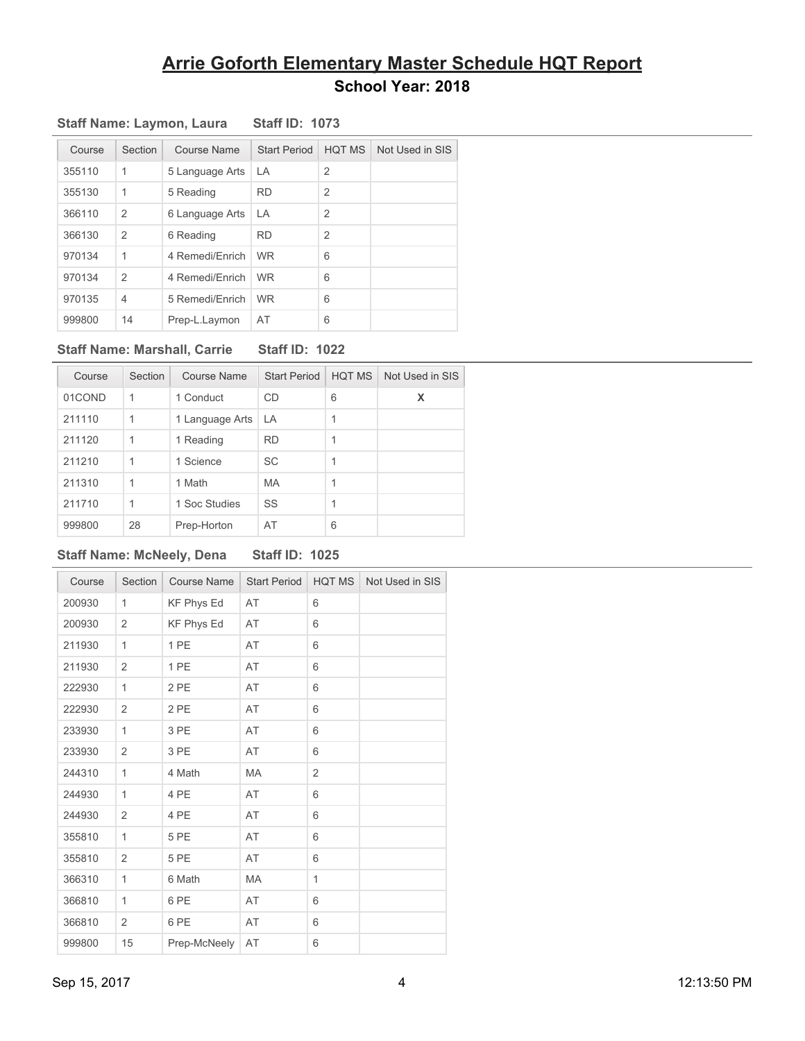| Course | Section        | Course Name     | <b>Start Period</b> | <b>HQT MS</b>  | Not Used in SIS |
|--------|----------------|-----------------|---------------------|----------------|-----------------|
| 355110 | 1              | 5 Language Arts | LA.                 | $\overline{2}$ |                 |
| 355130 | 1              | 5 Reading       | <b>RD</b>           | $\overline{2}$ |                 |
| 366110 | $\overline{2}$ | 6 Language Arts | LA                  | $\overline{2}$ |                 |
| 366130 | $\overline{2}$ | 6 Reading       | <b>RD</b>           | $\overline{2}$ |                 |
| 970134 | 1              | 4 Remedi/Enrich | <b>WR</b>           | 6              |                 |
| 970134 | $\overline{2}$ | 4 Remedi/Enrich | <b>WR</b>           | 6              |                 |
| 970135 | $\overline{4}$ | 5 Remedi/Enrich | <b>WR</b>           | 6              |                 |
| 999800 | 14             | Prep-L.Laymon   | AT                  | 6              |                 |

#### **Staff Name: Laymon, Laura Staff ID: 1073**

#### **Staff Name: Marshall, Carrie Staff ID: 1022**

| Course | Section | Course Name     | <b>Start Period</b> | HOT MS | Not Used in SIS |
|--------|---------|-----------------|---------------------|--------|-----------------|
| 01COND | 1       | 1 Conduct       | CD                  | 6      | X               |
| 211110 | 1       | 1 Language Arts | LA                  | 1      |                 |
| 211120 | 1       | 1 Reading       | <b>RD</b>           | 1      |                 |
| 211210 | 1       | 1 Science       | SC                  | 1      |                 |
| 211310 | 1       | 1 Math          | <b>MA</b>           | 1      |                 |
| 211710 | 1       | 1 Soc Studies   | SS                  | 1      |                 |
| 999800 | 28      | Prep-Horton     | AT                  | 6      |                 |

#### **Staff Name: McNeely, Dena Staff ID: 1025**

Course | Section | Course Name | Start Period | HQT MS | Not Used in SIS 200930 1 KF Phys Ed AT 6 200930 2 KF Phys Ed AT 6 211930 1 1 PE AT 6 211930 2 1 PE AT 6 222930 1 2 PE AT 6 222930 2 2 PE AT 6 233930 1 3 PE AT 6 233930 2 3 PE AT 6 244310 1 4 Math MA 2 244930 1 4 PE AT 6 244930 2 4 PE AT 6 355810 1 5 PE AT 6 355810 2 5 PE AT 6 366310 1 6 Math MA 1 366810 1 6 PE AT 6 366810 2 6 PE AT 6 999800 15 Prep-McNeely AT 6

### Sep 15, 2017 12:13:50 PM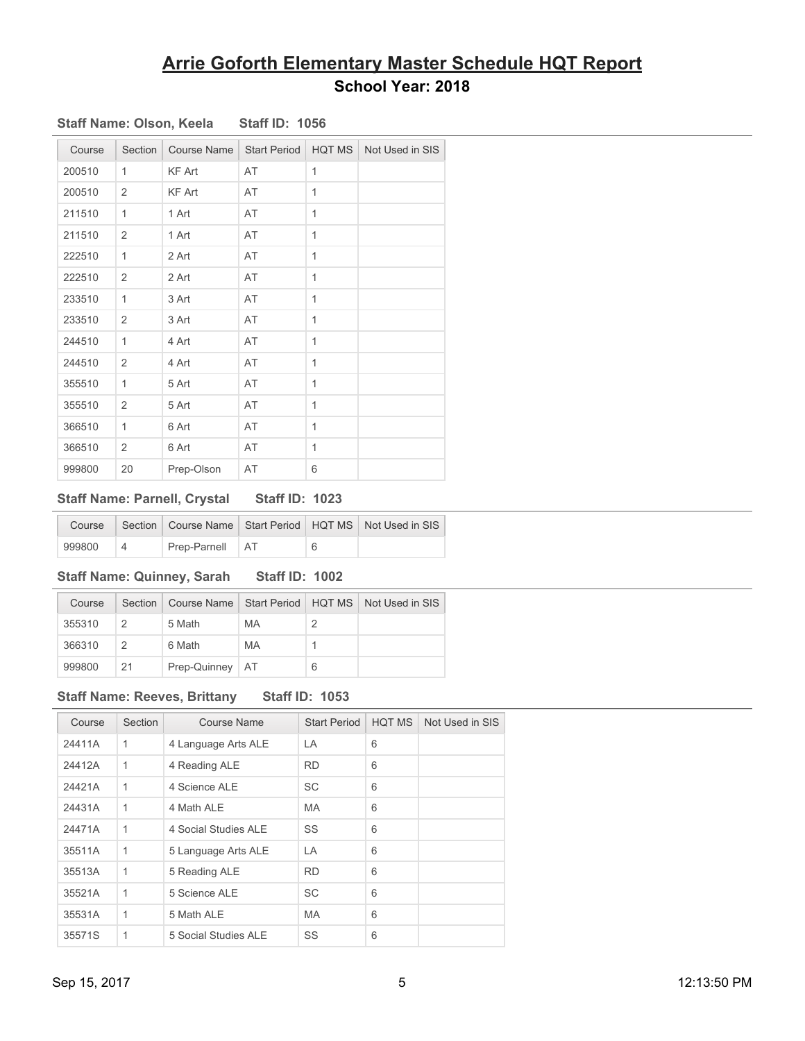| Course | Section        | Course Name   | <b>Start Period</b> | <b>HQT MS</b>  | Not Used in SIS |
|--------|----------------|---------------|---------------------|----------------|-----------------|
| 200510 | 1              | KF Art        | AT                  | 1              |                 |
| 200510 | $\overline{2}$ | <b>KF Art</b> | AT                  | 1              |                 |
| 211510 | 1              | 1 Art         | AT                  | 1              |                 |
| 211510 | $\overline{2}$ | 1 Art         | AT                  | $\overline{1}$ |                 |
| 222510 | 1              | 2 Art         | AT                  | 1              |                 |
| 222510 | $\overline{2}$ | 2 Art         | AT                  | 1              |                 |
| 233510 | 1              | 3 Art         | AT                  | 1              |                 |
| 233510 | 2              | 3 Art         | AT                  | $\mathbf{1}$   |                 |
| 244510 | 1              | 4 Art         | AT                  | 1              |                 |
| 244510 | $\overline{2}$ | 4 Art         | AT                  | 1              |                 |
| 355510 | 1              | 5 Art         | AT                  | 1              |                 |
| 355510 | $\overline{2}$ | 5 Art         | AT                  | 1              |                 |
| 366510 | 1              | 6 Art         | AT                  | 1              |                 |
| 366510 | 2              | 6 Art         | AT                  | 1              |                 |
| 999800 | 20             | Prep-Olson    | AT                  | 6              |                 |

### **Staff Name: Olson, Keela Staff ID: 1056**

### **Staff Name: Parnell, Crystal Staff ID: 1023**

|        |                   |   | Course   Section   Course Name   Start Period   HQT MS   Not Used in SIS |
|--------|-------------------|---|--------------------------------------------------------------------------|
| 999800 | Prep-Parnell   AT | 6 |                                                                          |

### **Staff Name: Quinney, Sarah Staff ID: 1002**

| Course | Section |                   |    |   | Course Name Start Period   HQT MS   Not Used in SIS |
|--------|---------|-------------------|----|---|-----------------------------------------------------|
| 355310 |         | 5 Math            | MA |   |                                                     |
| 366310 |         | 6 Math            | MA |   |                                                     |
| 999800 | 21      | Prep-Quinney   AT |    | 6 |                                                     |

### **Staff Name: Reeves, Brittany Staff ID: 1053**

| Course | Section | <b>Course Name</b>   | <b>Start Period</b> | <b>HQT MS</b> | Not Used in SIS |
|--------|---------|----------------------|---------------------|---------------|-----------------|
| 24411A | 1       | 4 Language Arts ALE  | LA                  | 6             |                 |
| 24412A | 1       | 4 Reading ALE        | <b>RD</b>           | 6             |                 |
| 24421A | 1       | 4 Science ALE        | SC                  | 6             |                 |
| 24431A | 1       | 4 Math ALE           | <b>MA</b>           | 6             |                 |
| 24471A | 1       | 4 Social Studies ALE | SS                  | 6             |                 |
| 35511A | 1       | 5 Language Arts ALE  | LA                  | 6             |                 |
| 35513A | 1       | 5 Reading ALE        | <b>RD</b>           | 6             |                 |
| 35521A | 1       | 5 Science ALE        | <b>SC</b>           | 6             |                 |
| 35531A | 1       | 5 Math ALE           | <b>MA</b>           | 6             |                 |
| 35571S | 1       | 5 Social Studies ALE | SS                  | 6             |                 |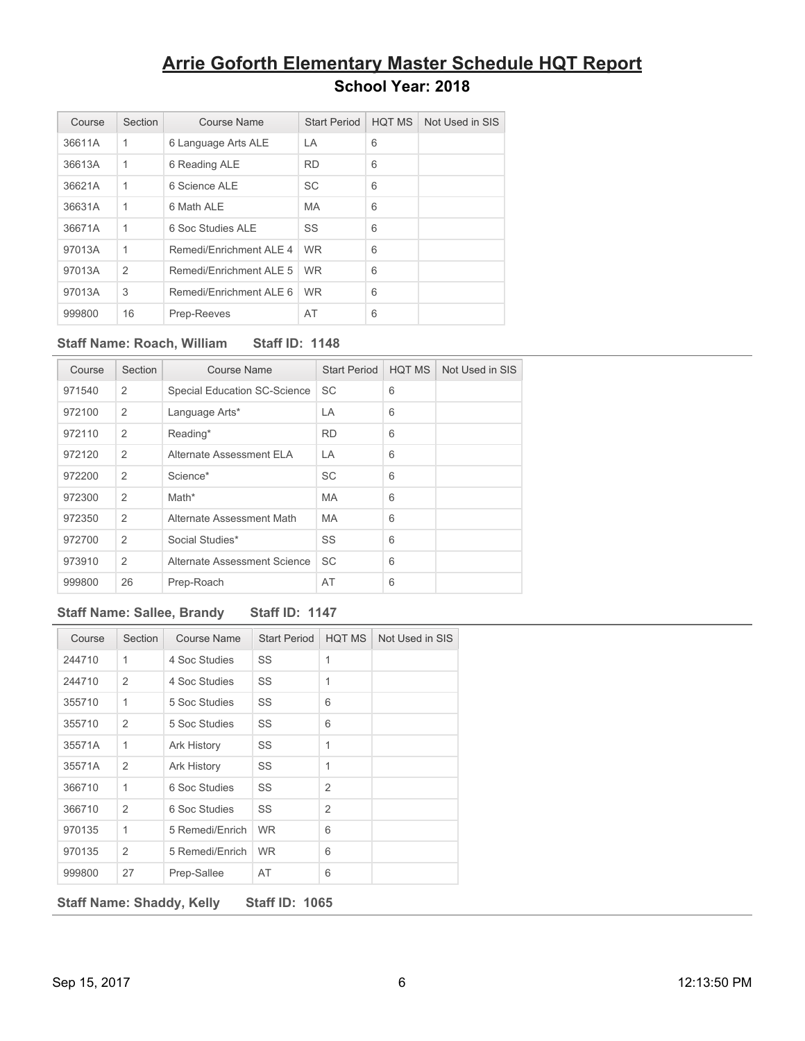| Course | Section        | Course Name              | <b>Start Period</b> | <b>HQT MS</b> | Not Used in SIS |
|--------|----------------|--------------------------|---------------------|---------------|-----------------|
| 36611A | 1              | 6 Language Arts ALE      | LA                  | 6             |                 |
| 36613A | 1              | 6 Reading ALE            | <b>RD</b>           | 6             |                 |
| 36621A | 1              | 6 Science ALE            | <b>SC</b>           | 6             |                 |
| 36631A | 1              | 6 Math ALE               | <b>MA</b>           | 6             |                 |
| 36671A | 1              | 6 Soc Studies ALE        | SS                  | 6             |                 |
| 97013A | 1              | Remedi/Fnrichment AI F 4 | <b>WR</b>           | 6             |                 |
| 97013A | $\overline{2}$ | Remedi/Fnrichment AI F 5 | <b>WR</b>           | 6             |                 |
| 97013A | 3              | Remedi/Enrichment ALE 6  | <b>WR</b>           | 6             |                 |
| 999800 | 16             | Prep-Reeves              | AT                  | 6             |                 |

### **Staff Name: Roach, William Staff ID: 1148**

| Course | Section        | Course Name                         | <b>Start Period</b> | HQT MS | Not Used in SIS |
|--------|----------------|-------------------------------------|---------------------|--------|-----------------|
| 971540 | $\overline{2}$ | <b>Special Education SC-Science</b> | SC                  | 6      |                 |
| 972100 | $\overline{2}$ | Language Arts*                      | LA                  | 6      |                 |
| 972110 | 2              | Reading*                            | <b>RD</b>           | 6      |                 |
| 972120 | $\overline{2}$ | Alternate Assessment ELA            | LA                  | 6      |                 |
| 972200 | $\overline{2}$ | Science*                            | SC                  | 6      |                 |
| 972300 | $\overline{2}$ | Math*                               | <b>MA</b>           | 6      |                 |
| 972350 | $\overline{2}$ | Alternate Assessment Math           | <b>MA</b>           | 6      |                 |
| 972700 | $\overline{2}$ | Social Studies*                     | SS                  | 6      |                 |
| 973910 | $\overline{2}$ | Alternate Assessment Science        | <b>SC</b>           | 6      |                 |
| 999800 | 26             | Prep-Roach                          | AT                  | 6      |                 |

### **Staff Name: Sallee, Brandy Staff ID: 1147**

| Course                                                    | Section        | <b>Course Name</b> | <b>Start Period</b> | <b>HQT MS</b>  | Not Used in SIS |  |  |
|-----------------------------------------------------------|----------------|--------------------|---------------------|----------------|-----------------|--|--|
| 244710                                                    | 1              | 4 Soc Studies      | SS                  | 1              |                 |  |  |
| 244710                                                    | 2              | 4 Soc Studies      | SS                  | 1              |                 |  |  |
| 355710                                                    | 1              | 5 Soc Studies      | SS                  | 6              |                 |  |  |
| 355710                                                    | 2              | 5 Soc Studies      | SS                  | 6              |                 |  |  |
| 35571A                                                    | 1              | Ark History        | SS                  | 1              |                 |  |  |
| 35571A                                                    | $\overline{2}$ | Ark History        | SS                  | 1              |                 |  |  |
| 366710                                                    | 1              | 6 Soc Studies      | SS                  | $\overline{2}$ |                 |  |  |
| 366710                                                    | $\overline{2}$ | 6 Soc Studies      | SS                  | $\overline{2}$ |                 |  |  |
| 970135                                                    | 1              | 5 Remedi/Enrich    | <b>WR</b>           | 6              |                 |  |  |
| 970135                                                    | $\overline{2}$ | 5 Remedi/Enrich    | <b>WR</b>           | 6              |                 |  |  |
| 999800                                                    | 27             | Prep-Sallee        | AT                  | 6              |                 |  |  |
| <b>Staff ID: 1065</b><br><b>Staff Name: Shaddy, Kelly</b> |                |                    |                     |                |                 |  |  |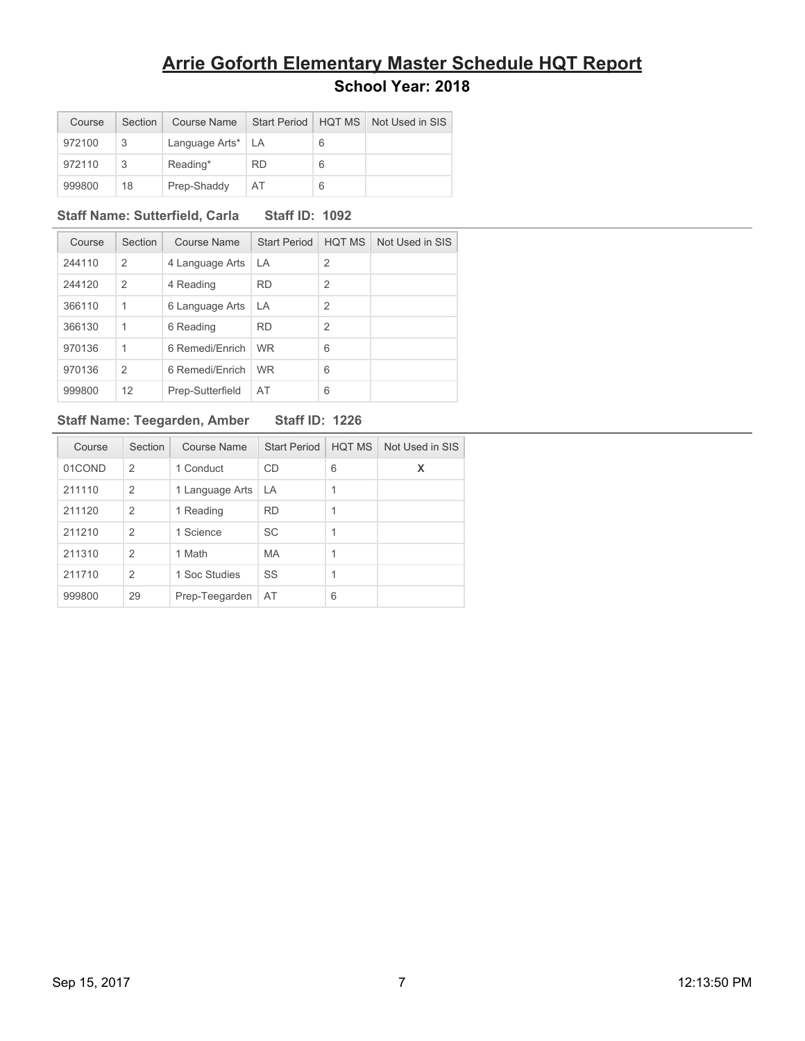| Course | Section | Course Name         |           |   | Start Period   HQT MS   Not Used in SIS |
|--------|---------|---------------------|-----------|---|-----------------------------------------|
| 972100 | 3       | Language Arts*   LA |           | 6 |                                         |
| 972110 |         | Reading*            | <b>RD</b> | 6 |                                         |
| 999800 | 18      | Prep-Shaddy         | AT        | 6 |                                         |

### **Staff Name: Sutterfield, Carla Staff ID: 1092**

| Course | Section        | Course Name      | <b>Start Period</b> | <b>HOT MS</b>  | Not Used in SIS |
|--------|----------------|------------------|---------------------|----------------|-----------------|
| 244110 | $\overline{2}$ | 4 Language Arts  | LA                  | $\overline{2}$ |                 |
| 244120 | 2              | 4 Reading        | <b>RD</b>           | $\overline{2}$ |                 |
| 366110 | $\mathbf{1}$   | 6 Language Arts  | LA                  | $\overline{2}$ |                 |
| 366130 | $\mathbf 1$    | 6 Reading        | <b>RD</b>           | $\overline{2}$ |                 |
| 970136 | $\mathbf{1}$   | 6 Remedi/Enrich  | <b>WR</b>           | 6              |                 |
| 970136 | $\overline{2}$ | 6 Remedi/Fnrich  | <b>WR</b>           | 6              |                 |
| 999800 | 12             | Prep-Sutterfield | AT                  | 6              |                 |

### **Staff Name: Teegarden, Amber Staff ID: 1226**

| <b>Staff ID: 1226</b> |  |  |
|-----------------------|--|--|
|-----------------------|--|--|

| Course | Section        | Course Name     | <b>Start Period</b> | <b>HOT MS</b> | Not Used in SIS |
|--------|----------------|-----------------|---------------------|---------------|-----------------|
| 01COND | $\mathcal{P}$  | 1 Conduct       | <b>CD</b>           | 6             | x               |
| 211110 | $\overline{2}$ | 1 Language Arts | LA                  | 1             |                 |
| 211120 | $\overline{2}$ | 1 Reading       | <b>RD</b>           | 1             |                 |
| 211210 | 2              | 1 Science       | <b>SC</b>           | 1             |                 |
| 211310 | 2              | 1 Math          | <b>MA</b>           | 1             |                 |
| 211710 | $\overline{2}$ | 1 Soc Studies   | SS                  | 1             |                 |
| 999800 | 29             | Prep-Teegarden  | AT                  | 6             |                 |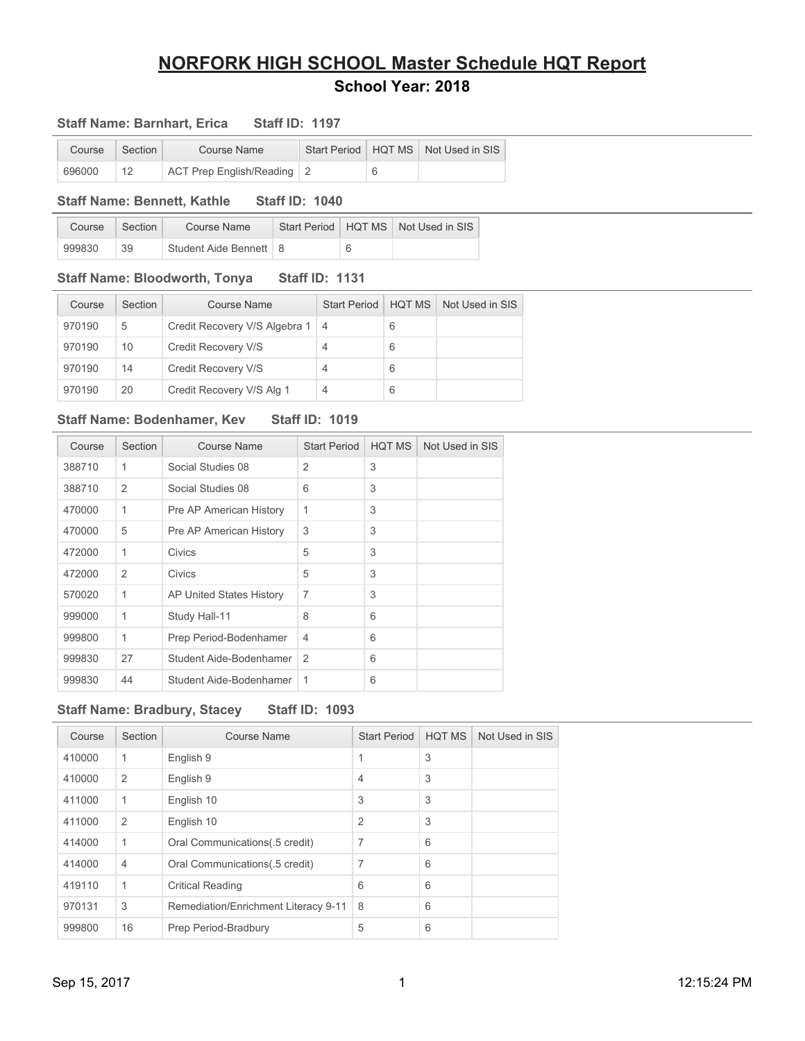### **Staff Name: Barnhart, Erica Staff ID: 1197**

| Course | Section | Course Name                |  | Start Period   HQT MS   Not Used in SIS |  |
|--------|---------|----------------------------|--|-----------------------------------------|--|
| 696000 | 12      | ACT Prep English/Reading 2 |  |                                         |  |

### **Staff Name: Bennett, Kathle Staff ID: 1040**

| Course | Section | Course Name              |  | Start Period   HQT MS   Not Used in SIS |
|--------|---------|--------------------------|--|-----------------------------------------|
| 999830 | 39      | Student Aide Bennett   8 |  |                                         |

#### **Staff Name: Bloodworth, Tonya Staff ID: 1131**

| Course | Section | Course Name                       | <b>Start Period</b> | <b>HQT MS</b> | Not Used in SIS |
|--------|---------|-----------------------------------|---------------------|---------------|-----------------|
| 970190 | 5       | Credit Recovery V/S Algebra 1   4 |                     | 6             |                 |
| 970190 | 10      | Credit Recovery V/S               |                     | 6             |                 |
| 970190 | 14      | Credit Recovery V/S               |                     | 6             |                 |
| 970190 | 20      | Credit Recovery V/S Alg 1         |                     | 6             |                 |

#### **Staff Name: Bodenhamer, Kev Staff ID: 1019**

| Course | Section        | Course Name              | <b>Start Period</b> | <b>HQT MS</b> | Not Used in SIS |
|--------|----------------|--------------------------|---------------------|---------------|-----------------|
| 388710 | 1              | Social Studies 08        | $\overline{2}$      | 3             |                 |
| 388710 | $\overline{2}$ | Social Studies 08        | 6                   | 3             |                 |
| 470000 | 1              | Pre AP American History  | 1                   | 3             |                 |
| 470000 | 5              | Pre AP American History  | 3                   | 3             |                 |
| 472000 | 1              | Civics                   | 5                   | 3             |                 |
| 472000 | 2              | Civics                   | 5                   | 3             |                 |
| 570020 | 1              | AP United States History | $\overline{7}$      | 3             |                 |
| 999000 | 1              | Study Hall-11            | 8                   | 6             |                 |
| 999800 | 1              | Prep Period-Bodenhamer   | 4                   | 6             |                 |
| 999830 | 27             | Student Aide-Bodenhamer  | $\mathcal{P}$       | 6             |                 |
| 999830 | 44             | Student Aide-Bodenhamer  | 1                   | 6             |                 |

### **Staff Name: Bradbury, Stacey Staff ID: 1093**

| Course | Section      | <b>Course Name</b>                   | <b>Start Period</b> | <b>HQT MS</b> | Not Used in SIS |
|--------|--------------|--------------------------------------|---------------------|---------------|-----------------|
| 410000 | 1            | English 9                            | 1                   | 3             |                 |
| 410000 | 2            | English 9                            | $\overline{4}$      | 3             |                 |
| 411000 | 1            | English 10                           | 3                   | 3             |                 |
| 411000 | 2            | English 10                           | $\overline{2}$      | 3             |                 |
| 414000 | 1            | Oral Communications (5 credit)       | 7                   | 6             |                 |
| 414000 | 4            | Oral Communications (5 credit)       | 7                   | 6             |                 |
| 419110 | $\mathbf{1}$ | <b>Critical Reading</b>              | 6                   | 6             |                 |
| 970131 | 3            | Remediation/Enrichment Literacy 9-11 | 8                   | 6             |                 |
| 999800 | 16           | Prep Period-Bradbury                 | 5                   | 6             |                 |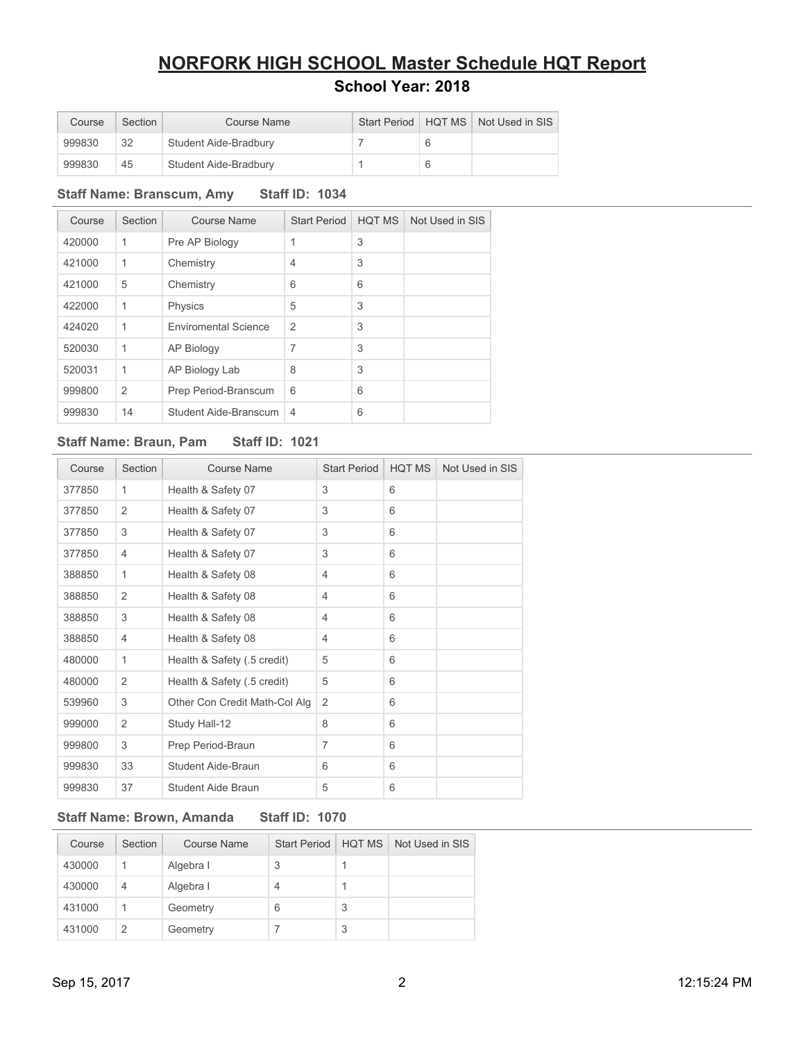| Course | Section | Course Name           |  | Start Period   HQT MS   Not Used in SIS |
|--------|---------|-----------------------|--|-----------------------------------------|
| 999830 | 32      | Student Aide-Bradbury |  |                                         |
| 999830 | 45      | Student Aide-Bradbury |  |                                         |

### **Staff Name: Branscum, Amy Staff ID: 1034**

| Course | Section | Course Name                 | <b>Start Period</b> | <b>HQT MS</b> | Not Used in SIS |
|--------|---------|-----------------------------|---------------------|---------------|-----------------|
| 420000 | 1       | Pre AP Biology              | 1                   | 3             |                 |
| 421000 | 1       | Chemistry                   | $\overline{4}$      | 3             |                 |
| 421000 | 5       | Chemistry                   | 6                   | 6             |                 |
| 422000 | 1       | Physics                     | 5                   | 3             |                 |
| 424020 | 1       | <b>Enviromental Science</b> | $\overline{2}$      | 3             |                 |
| 520030 | 1       | <b>AP Biology</b>           | 7                   | 3             |                 |
| 520031 | 1       | AP Biology Lab              | 8                   | 3             |                 |
| 999800 | 2       | Prep Period-Branscum        | 6                   | 6             |                 |
| 999830 | 14      | Student Aide-Branscum       | $\overline{4}$      | 6             |                 |

### **Staff Name: Braun, Pam Staff ID: 1021**

| Course | Section        | Course Name                   | <b>Start Period</b> | <b>HQT MS</b> | Not Used in SIS |
|--------|----------------|-------------------------------|---------------------|---------------|-----------------|
| 377850 | 1              | Health & Safety 07            | 3                   | 6             |                 |
| 377850 | 2              | Health & Safety 07            | 3                   | 6             |                 |
| 377850 | 3              | Health & Safety 07            | 3                   | 6             |                 |
| 377850 | 4              | Health & Safety 07            | 3                   | 6             |                 |
| 388850 | 1              | Health & Safety 08            | 4                   | 6             |                 |
| 388850 | $\overline{2}$ | Health & Safety 08            | 4                   | 6             |                 |
| 388850 | 3              | Health & Safety 08            | $\overline{4}$      | 6             |                 |
| 388850 | 4              | Health & Safety 08            | 4                   | 6             |                 |
| 480000 | 1              | Health & Safety (.5 credit)   | 5                   | 6             |                 |
| 480000 | $\overline{2}$ | Health & Safety (.5 credit)   | 5                   | 6             |                 |
| 539960 | 3              | Other Con Credit Math-Col Alg | 2                   | 6             |                 |
| 999000 | $\overline{2}$ | Study Hall-12                 | 8                   | 6             |                 |
| 999800 | 3              | Prep Period-Braun             | 7                   | 6             |                 |
| 999830 | 33             | Student Aide-Braun            | 6                   | 6             |                 |
| 999830 | 37             | Student Aide Braun            | 5                   | 6             |                 |

### **Staff Name: Brown, Amanda Staff ID: 1070**

| Course | Section        | Course Name | <b>Start Period</b> | <b>HOT MS</b> | Not Used in SIS |
|--------|----------------|-------------|---------------------|---------------|-----------------|
| 430000 |                | Algebra I   | 3                   |               |                 |
| 430000 | $\overline{4}$ | Algebra I   | 4                   |               |                 |
| 431000 |                | Geometry    | 6                   | 3             |                 |
| 431000 | 2              | Geometry    |                     | 3             |                 |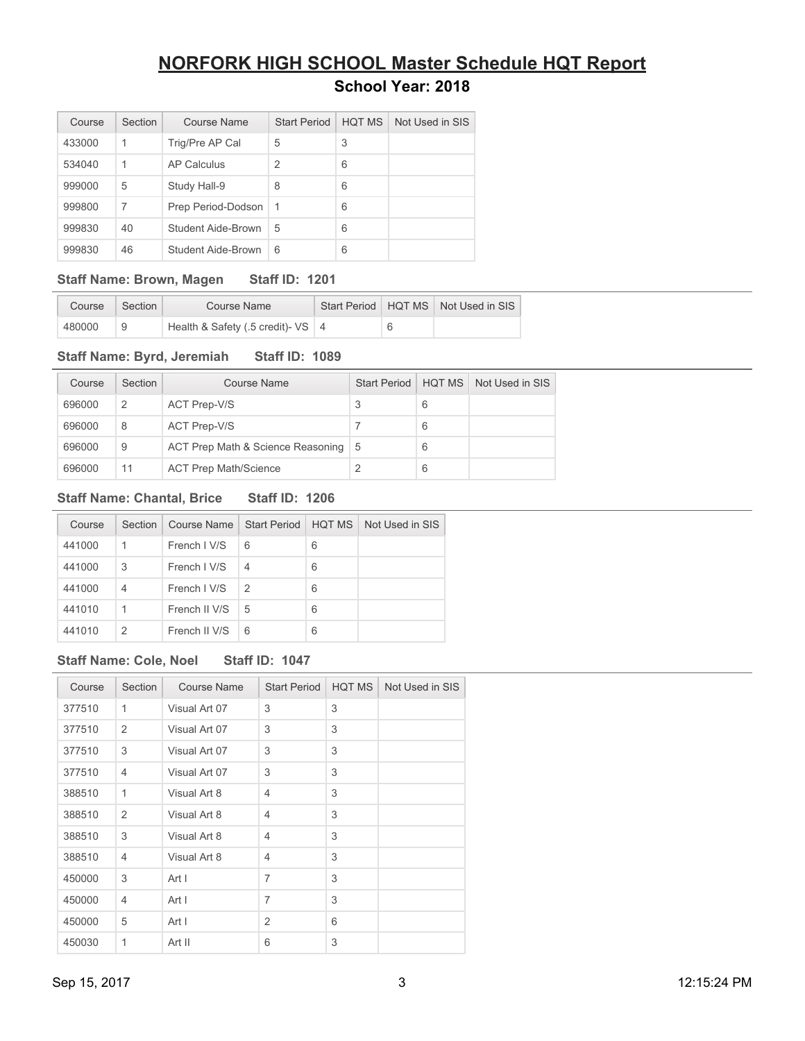| Course | Section | Course Name        | <b>Start Period</b> | <b>HOT MS</b> | Not Used in SIS |
|--------|---------|--------------------|---------------------|---------------|-----------------|
| 433000 | 1       | Trig/Pre AP Cal    | 5                   | 3             |                 |
| 534040 | 1       | AP Calculus        | 2                   | 6             |                 |
| 999000 | 5       | Study Hall-9       | 8                   | 6             |                 |
| 999800 | 7       | Prep Period-Dodson | -1                  | 6             |                 |
| 999830 | 40      | Student Aide-Brown | 5                   | 6             |                 |
| 999830 | 46      | Student Aide-Brown | 6                   | 6             |                 |

### **Staff Name: Brown, Magen Staff ID: 1201**

| Course | Section | Course Name                         |   | Start Period   HQT MS   Not Used in SIS |
|--------|---------|-------------------------------------|---|-----------------------------------------|
| 480000 |         | Health & Safety (.5 credit)- $VS$ 4 | 6 |                                         |

### **Staff Name: Byrd, Jeremiah Staff ID: 1089**

| Course | Section | <b>Course Name</b>                    | <b>Start Period</b> | <b>HOT MS</b> | Not Used in SIS |
|--------|---------|---------------------------------------|---------------------|---------------|-----------------|
| 696000 | 2       | ACT Prep-V/S                          |                     | 6             |                 |
| 696000 | 8       | ACT Prep-V/S                          |                     | 6             |                 |
| 696000 | 9       | ACT Prep Math & Science Reasoning   5 |                     | 6             |                 |
| 696000 | 11      | <b>ACT Prep Math/Science</b>          |                     | 6             |                 |

### **Staff Name: Chantal, Brice Staff ID: 1206**

| Course | Section | Course Name   Start Period |                | <b>HOT MS</b> | Not Used in SIS |
|--------|---------|----------------------------|----------------|---------------|-----------------|
| 441000 | 1       | French I V/S               | 6              | 6             |                 |
| 441000 | 3       | French I V/S               | $\overline{4}$ | 6             |                 |
| 441000 | 4       | French I V/S               | 2              | 6             |                 |
| 441010 | 1       | French II V/S              | 5              | 6             |                 |
| 441010 | 2       | French II V/S              | 6              | 6             |                 |

### **Staff Name: Cole, Noel Staff ID: 1047**

| Course | Section        | <b>Course Name</b> | <b>Start Period</b> | HQT MS | Not Used in SIS |
|--------|----------------|--------------------|---------------------|--------|-----------------|
| 377510 | 1              | Visual Art 07      | 3                   | 3      |                 |
| 377510 | $\overline{2}$ | Visual Art 07      | 3                   | 3      |                 |
| 377510 | 3              | Visual Art 07      | 3                   | 3      |                 |
| 377510 | 4              | Visual Art 07      | 3                   | 3      |                 |
| 388510 | 1              | Visual Art 8       | 4                   | 3      |                 |
| 388510 | 2              | Visual Art 8       | $\overline{4}$      | 3      |                 |
| 388510 | 3              | Visual Art 8       | $\overline{4}$      | 3      |                 |
| 388510 | $\overline{4}$ | Visual Art 8       | $\overline{4}$      | 3      |                 |
| 450000 | 3              | Art I              | $\overline{7}$      | 3      |                 |
| 450000 | 4              | Art I              | $\overline{7}$      | 3      |                 |
| 450000 | 5              | Art I              | 2                   | 6      |                 |
| 450030 | 1              | Art II             | 6                   | 3      |                 |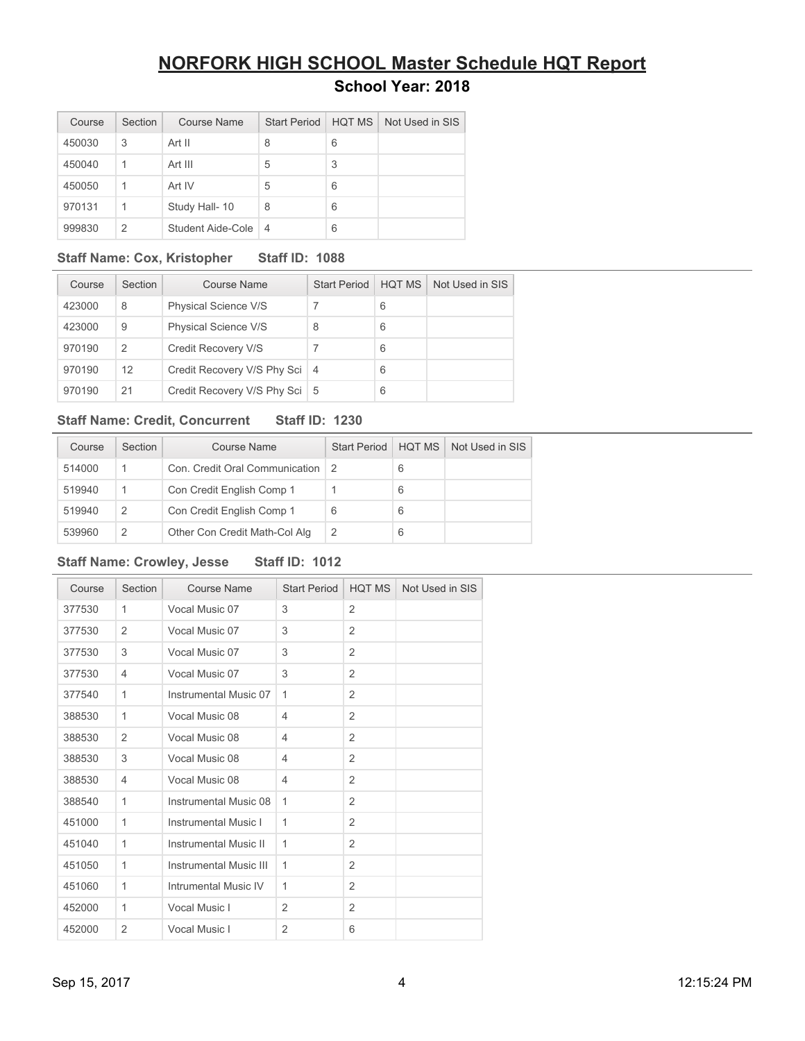| Course | Section | Course Name       | <b>Start Period</b> | HOT MS | Not Used in SIS |
|--------|---------|-------------------|---------------------|--------|-----------------|
| 450030 | 3       | Art II            | 8                   | 6      |                 |
| 450040 | 1       | Art III           | 5                   | 3      |                 |
| 450050 | 1       | Art IV            | 5                   | 6      |                 |
| 970131 | 1       | Study Hall- 10    | 8                   | 6      |                 |
| 999830 | 2       | Student Aide-Cole | 4                   | 6      |                 |

### **Staff Name: Cox, Kristopher Staff ID: 1088**

| Course | Section       | Course Name                     | <b>Start Period</b> | HOT MS | Not Used in SIS |
|--------|---------------|---------------------------------|---------------------|--------|-----------------|
| 423000 | 8             | Physical Science V/S            |                     | 6      |                 |
| 423000 | 9             | Physical Science V/S            | 8                   | 6      |                 |
| 970190 | $\mathcal{P}$ | Credit Recovery V/S             |                     | 6      |                 |
| 970190 | 12            | Credit Recovery V/S Phy Sci     | $\overline{4}$      | 6      |                 |
| 970190 | 21            | Credit Recovery V/S Phy Sci   5 |                     | 6      |                 |

### **Staff Name: Credit, Concurrent Staff ID: 1230**

| Course | Section       | Course Name                    | <b>Start Period</b> | <b>HOT MS</b> | Not Used in SIS |
|--------|---------------|--------------------------------|---------------------|---------------|-----------------|
| 514000 |               | Con. Credit Oral Communication |                     | 6             |                 |
| 519940 |               | Con Credit English Comp 1      |                     | 6             |                 |
| 519940 | $\mathcal{P}$ | Con Credit English Comp 1      | 6                   | 6             |                 |
| 539960 |               | Other Con Credit Math-Col Alg  | 2                   | 6             |                 |

### **Staff Name: Crowley, Jesse Staff ID: 1012**

| Course | Section        | Course Name                   | <b>Start Period</b> | <b>HQT MS</b>  | Not Used in SIS |
|--------|----------------|-------------------------------|---------------------|----------------|-----------------|
| 377530 | 1              | Vocal Music 07                | 3                   | $\overline{2}$ |                 |
| 377530 | $\overline{2}$ | Vocal Music 07                | 3                   | $\overline{2}$ |                 |
| 377530 | 3              | Vocal Music 07                | 3                   | $\overline{2}$ |                 |
| 377530 | 4              | Vocal Music 07                | 3                   | $\overline{2}$ |                 |
| 377540 | $\mathbf{1}$   | Instrumental Music 07         | 1                   | $\overline{2}$ |                 |
| 388530 | 1              | Vocal Music 08                | 4                   | 2              |                 |
| 388530 | 2              | Vocal Music 08                | 4                   | $\overline{2}$ |                 |
| 388530 | 3              | Vocal Music 08                | 4                   | 2              |                 |
| 388530 | 4              | Vocal Music 08                | 4                   | 2              |                 |
| 388540 | $\mathbf{1}$   | Instrumental Music 08         | 1                   | 2              |                 |
| 451000 | 1              | Instrumental Music I          | 1                   | 2              |                 |
| 451040 | 1              | <b>Instrumental Music II</b>  | 1                   | $\overline{2}$ |                 |
| 451050 | 1              | <b>Instrumental Music III</b> | 1                   | 2              |                 |
| 451060 | 1              | Intrumental Music IV          | 1                   | 2              |                 |
| 452000 | $\mathbf{1}$   | Vocal Music I                 | 2                   | 2              |                 |
| 452000 | $\overline{2}$ | Vocal Music I                 | $\overline{2}$      | 6              |                 |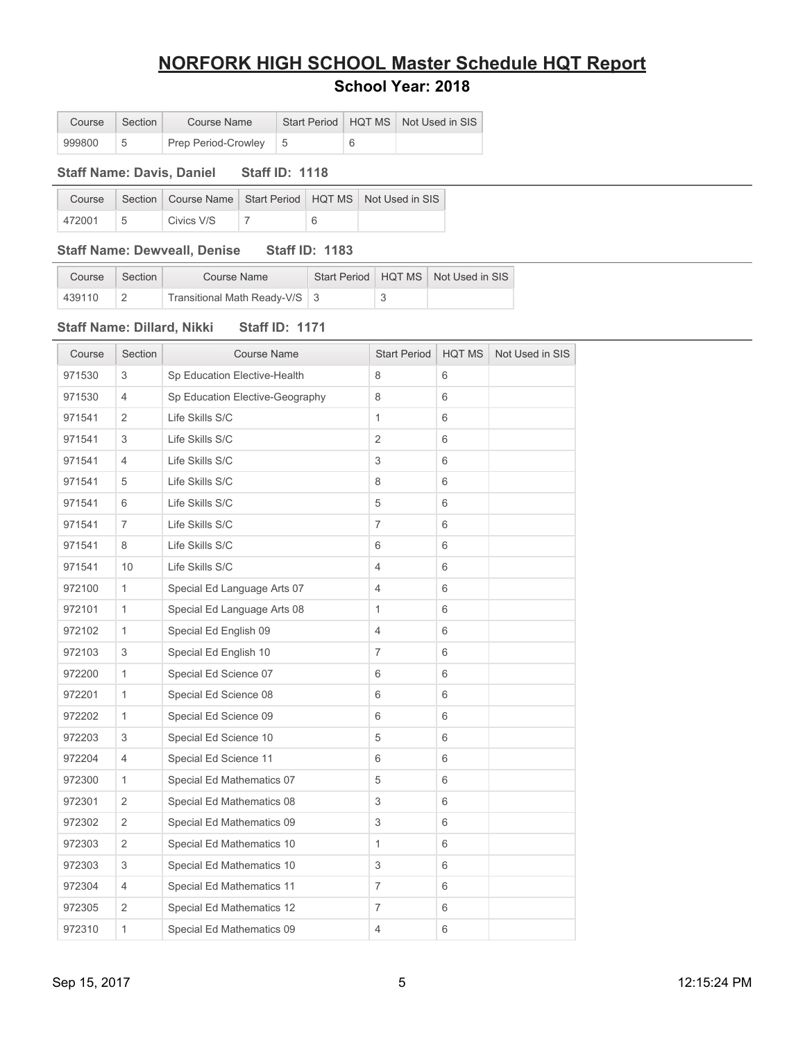# **NORFORK HIGH SCHOOL Master Schedule HQT Report**

| Course | Section | Course Name           |  | Start Period   HQT MS   Not Used in SIS |
|--------|---------|-----------------------|--|-----------------------------------------|
| 999800 |         | Prep Period-Crowley 5 |  |                                         |

#### **Staff Name: Davis, Daniel Staff ID: 1118**

| Course |            |  | Section   Course Name   Start Period   HQT MS   Not Used in SIS |
|--------|------------|--|-----------------------------------------------------------------|
| 472001 | Civics V/S |  |                                                                 |

### **Staff Name: Dewveall, Denise Staff ID: 1183**

| Course | Section | Course Name                   |  | Start Period   HQT MS   Not Used in SIS |
|--------|---------|-------------------------------|--|-----------------------------------------|
| 439110 |         | Transitional Math Ready-V/S 3 |  |                                         |

### **Staff Name: Dillard, Nikki Staff ID: 1171**

| Course | Section        | <b>Course Name</b>              | <b>Start Period</b> | <b>HQT MS</b> | Not Used in SIS |
|--------|----------------|---------------------------------|---------------------|---------------|-----------------|
| 971530 | 3              | Sp Education Elective-Health    | 8                   | 6             |                 |
| 971530 | 4              | Sp Education Elective-Geography | 8                   | 6             |                 |
| 971541 | 2              | Life Skills S/C                 | $\mathbf{1}$        | 6             |                 |
| 971541 | 3              | Life Skills S/C                 | $\overline{2}$      | 6             |                 |
| 971541 | 4              | Life Skills S/C                 | 3                   | 6             |                 |
| 971541 | 5              | Life Skills S/C                 | 8                   | 6             |                 |
| 971541 | 6              | Life Skills S/C                 | 5                   | 6             |                 |
| 971541 | 7              | Life Skills S/C                 | 7                   | 6             |                 |
| 971541 | 8              | Life Skills S/C                 | 6                   | 6             |                 |
| 971541 | 10             | Life Skills S/C                 | 4                   | 6             |                 |
| 972100 | $\mathbf{1}$   | Special Ed Language Arts 07     | 4                   | 6             |                 |
| 972101 | 1              | Special Ed Language Arts 08     | $\mathbf{1}$        | 6             |                 |
| 972102 | $\mathbf{1}$   | Special Ed English 09           | $\overline{4}$      | 6             |                 |
| 972103 | 3              | Special Ed English 10           | $\overline{7}$      | 6             |                 |
| 972200 | $\mathbf{1}$   | Special Ed Science 07           | 6                   | 6             |                 |
| 972201 | $\mathbf{1}$   | Special Ed Science 08           | 6                   | 6             |                 |
| 972202 | 1              | Special Ed Science 09           | 6                   | 6             |                 |
| 972203 | 3              | Special Ed Science 10           | 5                   | 6             |                 |
| 972204 | $\overline{4}$ | Special Ed Science 11           | 6                   | 6             |                 |
| 972300 | $\mathbf{1}$   | Special Ed Mathematics 07       | 5                   | 6             |                 |
| 972301 | $\overline{2}$ | Special Ed Mathematics 08       | 3                   | 6             |                 |
| 972302 | $\overline{2}$ | Special Ed Mathematics 09       | 3                   | 6             |                 |
| 972303 | 2              | Special Ed Mathematics 10       | 1                   | 6             |                 |
| 972303 | 3              | Special Ed Mathematics 10       | 3                   | 6             |                 |
| 972304 | $\overline{4}$ | Special Ed Mathematics 11       | $\overline{7}$      | 6             |                 |
| 972305 | 2              | Special Ed Mathematics 12       | 7                   | 6             |                 |
| 972310 | 1              | Special Ed Mathematics 09       | 4                   | 6             |                 |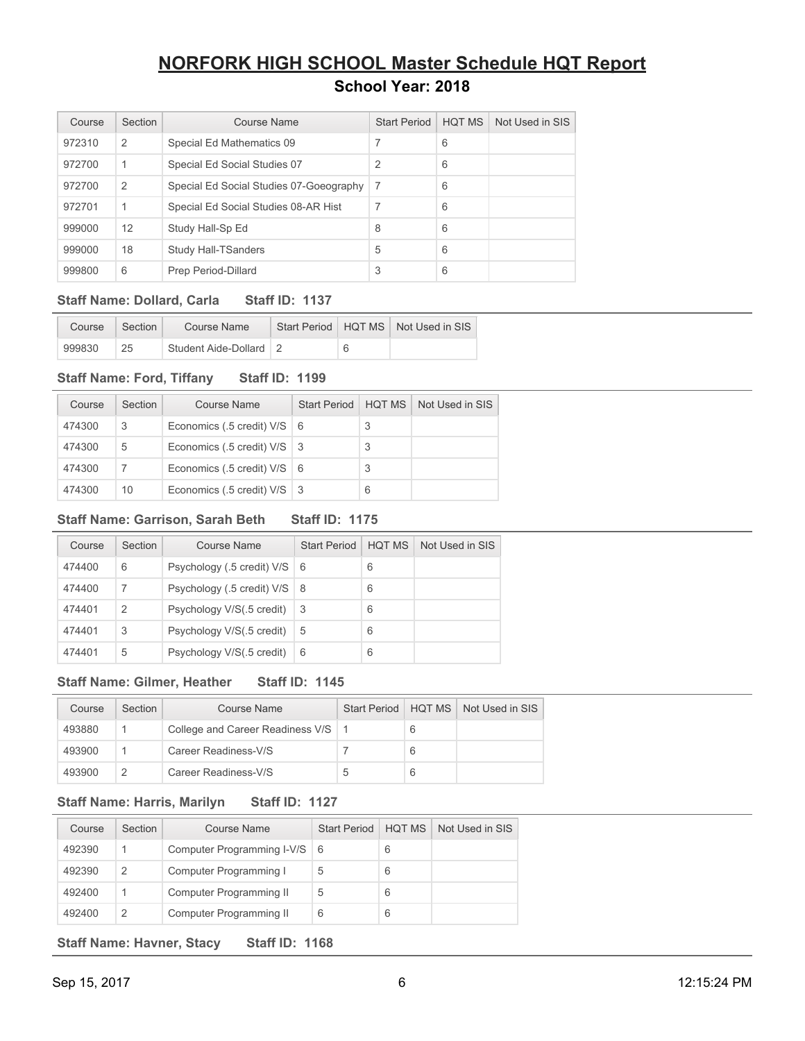| Course | Section | Course Name                             | <b>Start Period</b> | <b>HQT MS</b> | Not Used in SIS |
|--------|---------|-----------------------------------------|---------------------|---------------|-----------------|
| 972310 | 2       | Special Ed Mathematics 09               | 7                   | 6             |                 |
| 972700 | 1       | Special Ed Social Studies 07            | 2                   | 6             |                 |
| 972700 | 2       | Special Ed Social Studies 07-Goeography | -7                  | 6             |                 |
| 972701 | 1       | Special Ed Social Studies 08-AR Hist    | 7                   | 6             |                 |
| 999000 | 12      | Study Hall-Sp Ed                        | 8                   | 6             |                 |
| 999000 | 18      | <b>Study Hall-TSanders</b>              | 5                   | 6             |                 |
| 999800 | 6       | Prep Period-Dillard                     | 3                   | 6             |                 |

### **Staff Name: Dollard, Carla Staff ID: 1137**

| Course | Section | Course Name            |  | Start Period   HQT MS   Not Used in SIS |
|--------|---------|------------------------|--|-----------------------------------------|
| 999830 | 25      | Student Aide-Dollard 2 |  |                                         |

### **Staff Name: Ford, Tiffany Staff ID: 1199**

| Course | Section | Course Name                   | <b>Start Period</b> | HOT MS | Not Used in SIS |
|--------|---------|-------------------------------|---------------------|--------|-----------------|
| 474300 | 3       | Economics (.5 credit) V/S   6 |                     |        |                 |
| 474300 | 5       | Economics (.5 credit) V/S   3 |                     |        |                 |
| 474300 |         | Economics (.5 credit) V/S   6 |                     |        |                 |
| 474300 | 10      | Economics (.5 credit) V/S   3 |                     | 6      |                 |

### **Staff Name: Garrison, Sarah Beth Staff ID: 1175**

| Course | Section | Course Name                | <b>Start Period</b> | <b>HOT MS</b> | Not Used in SIS |
|--------|---------|----------------------------|---------------------|---------------|-----------------|
| 474400 | 6       | Psychology (.5 credit) V/S | l 6                 | 6             |                 |
| 474400 | 7       | Psychology (.5 credit) V/S | l 8                 | 6             |                 |
| 474401 | 2       | Psychology V/S(.5 credit)  | -3                  | 6             |                 |
| 474401 | 3       | Psychology V/S(.5 credit)  | 5                   | 6             |                 |
| 474401 | 5       | Psychology V/S(.5 credit)  | 6                   | 6             |                 |

### **Staff Name: Gilmer, Heather Staff ID: 1145**

| Course | Section | Course Name                      |   |   | Start Period   HOT MS   Not Used in SIS |
|--------|---------|----------------------------------|---|---|-----------------------------------------|
| 493880 |         | College and Career Readiness V/S |   | 6 |                                         |
| 493900 |         | Career Readiness-V/S             |   | 6 |                                         |
| 493900 | 2       | Career Readiness-V/S             | b | 6 |                                         |

### **Staff Name: Harris, Marilyn Staff ID: 1127**

| Course | Section | Course Name                  | <b>Start Period</b> | <b>HOT MS</b> | Not Used in SIS |
|--------|---------|------------------------------|---------------------|---------------|-----------------|
| 492390 |         | Computer Programming I-V/S 6 |                     | 6             |                 |
| 492390 | 2       | Computer Programming I       | 5                   | 6             |                 |
| 492400 |         | Computer Programming II      | 5                   | 6             |                 |
| 492400 |         | Computer Programming II      | 6                   | 6             |                 |

**Staff Name: Havner, Stacy Staff ID: 1168** 

Sep 15, 2017 12:15:24 PM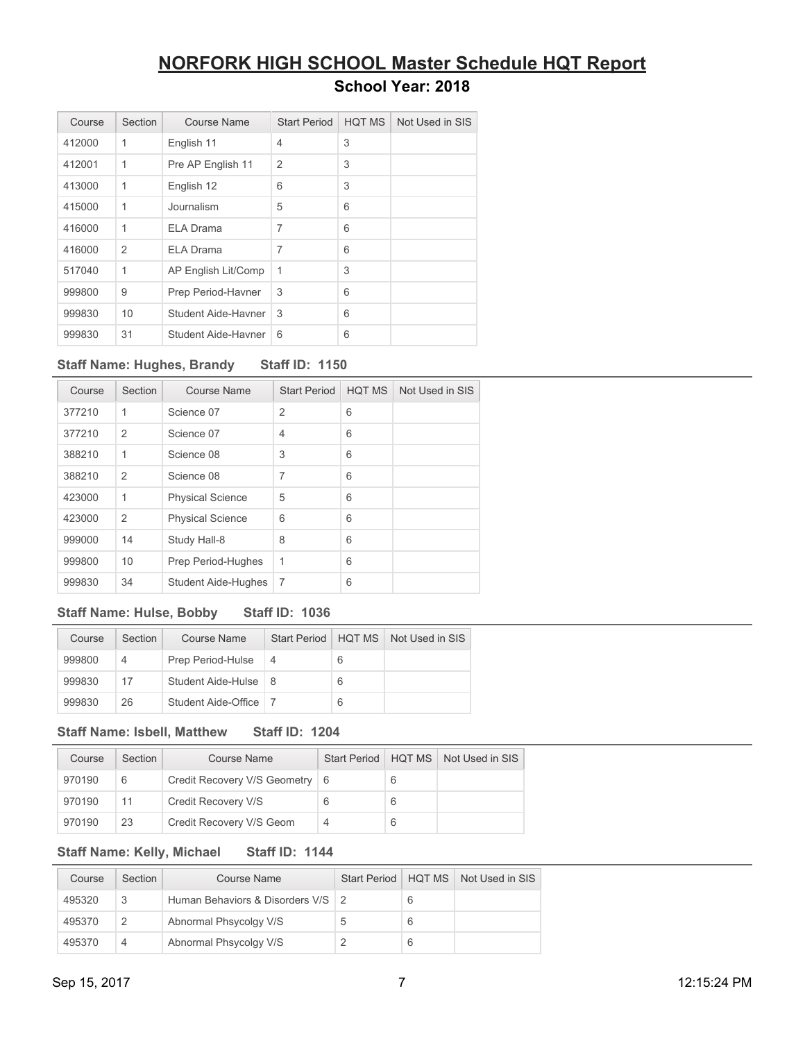| Course | Section        | <b>Course Name</b>  | <b>Start Period</b> | <b>HQT MS</b> | Not Used in SIS |
|--------|----------------|---------------------|---------------------|---------------|-----------------|
| 412000 | 1              | English 11          | 4                   | 3             |                 |
| 412001 | 1              | Pre AP English 11   | $\overline{2}$      | 3             |                 |
| 413000 | 1              | English 12          | 6                   | 3             |                 |
| 415000 | 1              | Journalism          | 5                   | 6             |                 |
| 416000 | 1              | <b>ELA Drama</b>    | 7                   | 6             |                 |
| 416000 | $\overline{2}$ | <b>ELA Drama</b>    | 7                   | 6             |                 |
| 517040 | 1              | AP English Lit/Comp | 1                   | 3             |                 |
| 999800 | 9              | Prep Period-Havner  | 3                   | 6             |                 |
| 999830 | 10             | Student Aide-Havner | 3                   | 6             |                 |
| 999830 | 31             | Student Aide-Havner | 6                   | 6             |                 |

### **Staff Name: Hughes, Brandy Staff ID: 1150**

| Course | Section        | Course Name             | <b>Start Period</b> | <b>HQT MS</b> | Not Used in SIS |
|--------|----------------|-------------------------|---------------------|---------------|-----------------|
| 377210 | 1              | Science 07              | $\overline{2}$      | 6             |                 |
| 377210 | $\overline{2}$ | Science 07              | 4                   | 6             |                 |
| 388210 | 1              | Science 08              | 3                   | 6             |                 |
| 388210 | 2              | Science 08              | $\overline{7}$      | 6             |                 |
| 423000 | 1              | <b>Physical Science</b> | 5                   | 6             |                 |
| 423000 | $\overline{2}$ | <b>Physical Science</b> | 6                   | 6             |                 |
| 999000 | 14             | Study Hall-8            | 8                   | 6             |                 |
| 999800 | 10             | Prep Period-Hughes      | 1                   | 6             |                 |
| 999830 | 34             | Student Aide-Hughes     | 7                   | 6             |                 |

### **Staff Name: Hulse, Bobby Staff ID: 1036**

| Course | Section | Course Name            | Start Period | HOT MS | Not Used in SIS |
|--------|---------|------------------------|--------------|--------|-----------------|
| 999800 | 4       | Prep Period-Hulse      | -4           | 6      |                 |
| 999830 | 17      | Student Aide-Hulse   8 |              | 6      |                 |
| 999830 | 26      | Student Aide-Office    |              | 6      |                 |

#### **Staff Name: Isbell, Matthew Staff ID: 1204**

| Course | Section | Course Name                      | Start Period   HQT MS |   | Not Used in SIS |
|--------|---------|----------------------------------|-----------------------|---|-----------------|
| 970190 | 6       | Credit Recovery V/S Geometry   6 |                       | 6 |                 |
| 970190 | 11      | Credit Recovery V/S              | 6                     | 6 |                 |
| 970190 | 23      | Credit Recovery V/S Geom         | 4                     | 6 |                 |

### **Staff Name: Kelly, Michael Staff ID: 1144**

| Course | Section | Course Name                       | <b>Start Period</b> | HOT MS | Not Used in SIS |
|--------|---------|-----------------------------------|---------------------|--------|-----------------|
| 495320 | 3       | Human Behaviors & Disorders V/S 2 |                     |        |                 |
| 495370 | 2       | Abnormal Phsycolgy V/S            | 5                   |        |                 |
| 495370 | 4       | Abnormal Phsycolgy V/S            |                     |        |                 |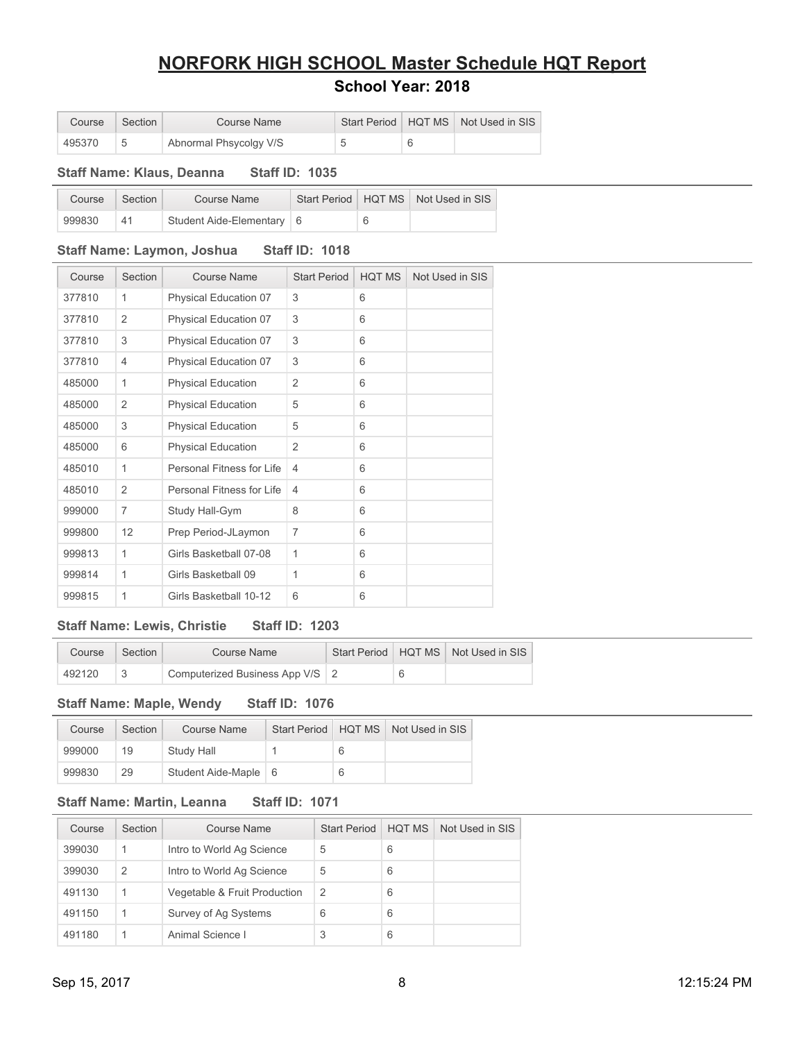## **NORFORK HIGH SCHOOL Master Schedule HQT Report**

### **School Year: 2018**

| Course | Section | Course Name            |  | Start Period   HQT MS   Not Used in SIS |
|--------|---------|------------------------|--|-----------------------------------------|
| 495370 |         | Abnormal Phsycolgy V/S |  |                                         |

#### **Staff Name: Klaus, Deanna Staff ID: 1035**

| Course | Section        | Course Name                 |  | Start Period   HQT MS   Not Used in SIS |
|--------|----------------|-----------------------------|--|-----------------------------------------|
| 999830 | 4 <sup>4</sup> | Student Aide-Elementary   6 |  |                                         |

### **Staff Name: Laymon, Joshua Staff ID: 1018**

| Course | Section        | Course Name               | <b>Start Period</b> | <b>HQT MS</b> | Not Used in SIS |
|--------|----------------|---------------------------|---------------------|---------------|-----------------|
| 377810 | 1              | Physical Education 07     | 3                   | 6             |                 |
| 377810 | 2              | Physical Education 07     | 3                   | 6             |                 |
| 377810 | 3              | Physical Education 07     | 3                   | 6             |                 |
| 377810 | $\overline{4}$ | Physical Education 07     | 3                   | 6             |                 |
| 485000 | 1              | <b>Physical Education</b> | 2                   | 6             |                 |
| 485000 | $\overline{2}$ | <b>Physical Education</b> | 5                   | 6             |                 |
| 485000 | 3              | <b>Physical Education</b> | 5                   | 6             |                 |
| 485000 | 6              | <b>Physical Education</b> | 2                   | 6             |                 |
| 485010 | 1              | Personal Fitness for Life | $\overline{4}$      | 6             |                 |
| 485010 | $\overline{2}$ | Personal Fitness for Life | 4                   | 6             |                 |
| 999000 | $\overline{7}$ | Study Hall-Gym            | 8                   | 6             |                 |
| 999800 | 12             | Prep Period-JLaymon       | $\overline{7}$      | 6             |                 |
| 999813 | 1              | Girls Basketball 07-08    | 1                   | 6             |                 |
| 999814 | 1              | Girls Basketball 09       | 1                   | 6             |                 |
| 999815 | 1              | Girls Basketball 10-12    | 6                   | 6             |                 |

### **Staff Name: Lewis, Christie Staff ID: 1203**

| Course | Section | Course Name                       |  | Start Period   HQT MS   Not Used in SIS |
|--------|---------|-----------------------------------|--|-----------------------------------------|
| 492120 |         | Computerized Business App V/S   2 |  |                                         |

**Staff Name: Maple, Wendy Staff ID: 1076** 

| Course | Section | Course Name          |   | Start Period   HQT MS   Not Used in SIS |
|--------|---------|----------------------|---|-----------------------------------------|
| 999000 | 19      | Study Hall           | 6 |                                         |
| 999830 | 29      | Student Aide-Maple 6 |   |                                         |

### **Staff Name: Martin, Leanna Staff ID: 1071**

| Course | Section       | Course Name                  | <b>Start Period</b> | HOT MS | Not Used in SIS |
|--------|---------------|------------------------------|---------------------|--------|-----------------|
| 399030 |               | Intro to World Ag Science    | 5                   | 6      |                 |
| 399030 | $\mathcal{P}$ | Intro to World Ag Science    | 5                   | 6      |                 |
| 491130 |               | Vegetable & Fruit Production | 2                   | 6      |                 |
| 491150 |               | Survey of Ag Systems         | 6                   | 6      |                 |
| 491180 |               | Animal Science I             | 3                   | 6      |                 |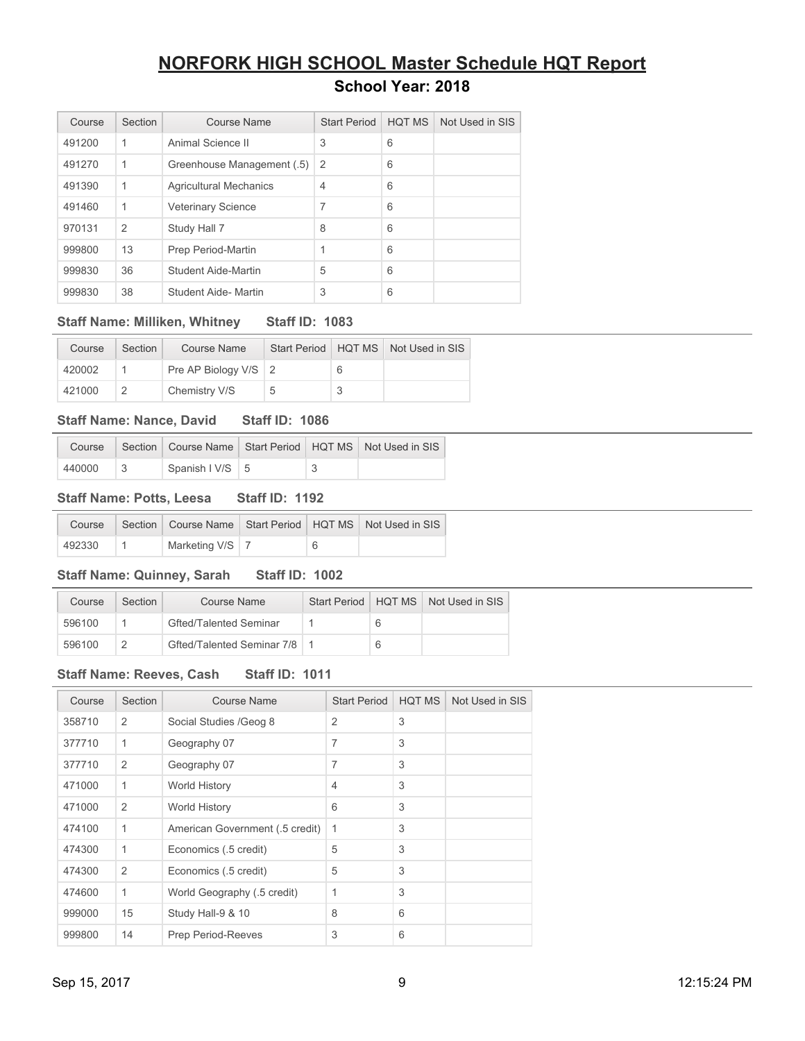| Course | Section        | Course Name                   | <b>Start Period</b> | <b>HQT MS</b> | Not Used in SIS |
|--------|----------------|-------------------------------|---------------------|---------------|-----------------|
| 491200 | 1              | Animal Science II             | 3                   | 6             |                 |
| 491270 | 1              | Greenhouse Management (.5)    | 2                   | 6             |                 |
| 491390 | 1              | <b>Agricultural Mechanics</b> | 4                   | 6             |                 |
| 491460 | 1              | <b>Veterinary Science</b>     | 7                   | 6             |                 |
| 970131 | $\overline{2}$ | Study Hall 7                  | 8                   | 6             |                 |
| 999800 | 13             | Prep Period-Martin            | 1                   | 6             |                 |
| 999830 | 36             | Student Aide-Martin           | 5                   | 6             |                 |
| 999830 | 38             | Student Aide- Martin          | 3                   | 6             |                 |

### **Staff Name: Milliken, Whitney Staff ID: 1083**

| Course | Section | Course Name            |   | Start Period   HQT MS   Not Used in SIS |
|--------|---------|------------------------|---|-----------------------------------------|
| 420002 |         | Pre AP Biology V/S   2 |   |                                         |
| 421000 |         | Chemistry V/S          | b |                                         |

#### **Staff Name: Nance, David Staff ID: 1086**

| Course |                          |  | Section   Course Name   Start Period   HQT MS   Not Used in SIS |
|--------|--------------------------|--|-----------------------------------------------------------------|
| 440000 | Spanish $1 \text{V/S}$ 5 |  |                                                                 |

### **Staff Name: Potts, Leesa Staff ID: 1192**

|        |                   |   | Course   Section   Course Name   Start Period   HQT MS   Not Used in SIS |
|--------|-------------------|---|--------------------------------------------------------------------------|
| 492330 | Marketing V/S   7 | 6 |                                                                          |

### **Staff Name: Quinney, Sarah Staff ID: 1002**

| Course | Section | <b>Course Name</b>            |  | Start Period   HQT MS   Not Used in SIS |
|--------|---------|-------------------------------|--|-----------------------------------------|
| 596100 |         | <b>Gfted/Talented Seminar</b> |  |                                         |
| 596100 |         | Gfted/Talented Seminar 7/8    |  |                                         |

### **Staff Name: Reeves, Cash Staff ID: 1011**

| Course | Section | <b>Course Name</b>              | <b>Start Period</b> | <b>HQT MS</b> | Not Used in SIS |
|--------|---------|---------------------------------|---------------------|---------------|-----------------|
| 358710 | 2       | Social Studies / Geog 8         | $\overline{2}$      | 3             |                 |
| 377710 | 1       | Geography 07                    | $\overline{7}$      | 3             |                 |
| 377710 | 2       | Geography 07                    | $\overline{7}$      | 3             |                 |
| 471000 | 1       | <b>World History</b>            | 4                   | 3             |                 |
| 471000 | 2       | World History                   | 6                   | 3             |                 |
| 474100 | 1       | American Government (.5 credit) | 1                   | 3             |                 |
| 474300 | 1       | Economics (.5 credit)           | 5                   | 3             |                 |
| 474300 | 2       | Economics (.5 credit)           | 5                   | 3             |                 |
| 474600 | 1       | World Geography (.5 credit)     | 1                   | 3             |                 |
| 999000 | 15      | Study Hall-9 & 10               | 8                   | 6             |                 |
| 999800 | 14      | <b>Prep Period-Reeves</b>       | 3                   | 6             |                 |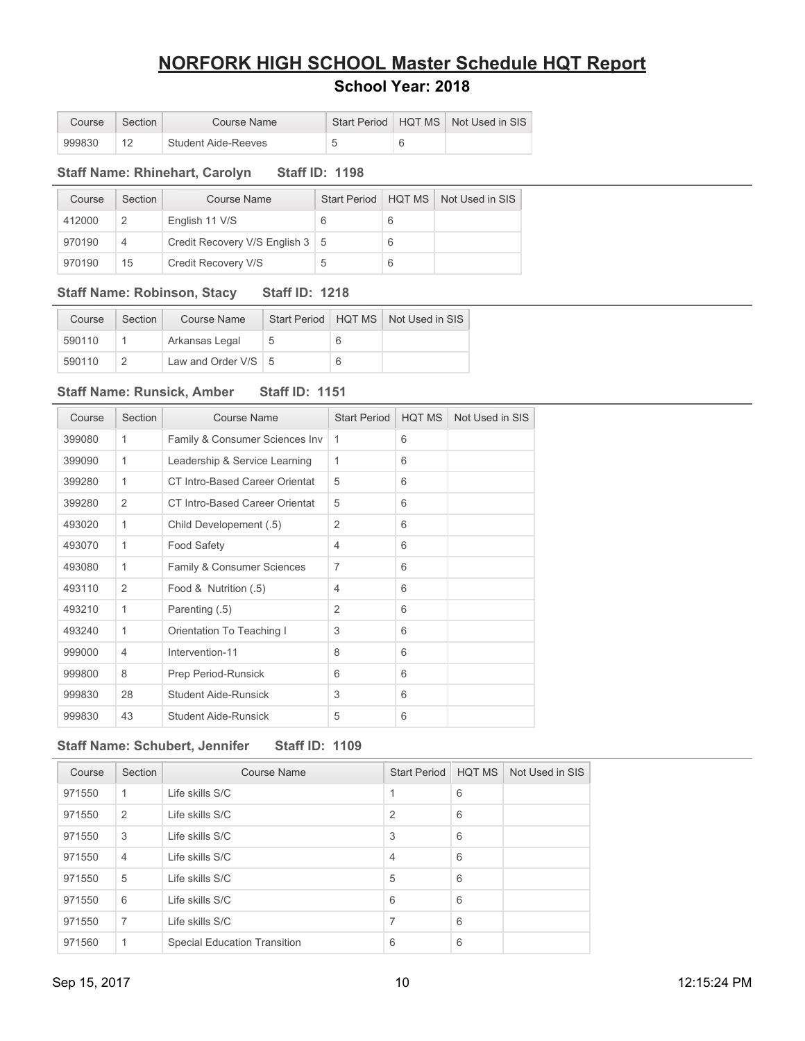| Course | Section | Course Name         |  | Start Period   HQT MS   Not Used in SIS |
|--------|---------|---------------------|--|-----------------------------------------|
| 999830 |         | Student Aide-Reeves |  |                                         |

### **Staff Name: Rhinehart, Carolyn Staff ID: 1198**

| Course | Section | Course Name                       | Start Period | HOT MS | Not Used in SIS |
|--------|---------|-----------------------------------|--------------|--------|-----------------|
| 412000 |         | English 11 V/S                    | 6            | 6      |                 |
| 970190 | 4       | Credit Recovery V/S English 3   5 |              | 6      |                 |
| 970190 | 15      | Credit Recovery V/S               | 5            | 6      |                 |

### **Staff Name: Robinson, Stacy Staff ID: 1218**

| Course | Section | Course Name           |  | Start Period   HQT MS   Not Used in SIS |
|--------|---------|-----------------------|--|-----------------------------------------|
| 590110 |         | Arkansas Legal        |  |                                         |
| 590110 |         | Law and Order $V/S$ 5 |  |                                         |

### **Staff Name: Runsick, Amber Staff ID: 1151**

| Course | Section        | <b>Course Name</b>             | <b>Start Period</b> | <b>HQT MS</b> | Not Used in SIS |
|--------|----------------|--------------------------------|---------------------|---------------|-----------------|
| 399080 | 1              | Family & Consumer Sciences Inv | 1                   | 6             |                 |
| 399090 | 1              | Leadership & Service Learning  | 1                   | 6             |                 |
| 399280 | 1              | CT Intro-Based Career Orientat | 5                   | 6             |                 |
| 399280 | $\overline{2}$ | CT Intro-Based Career Orientat | 5                   | 6             |                 |
| 493020 | 1              | Child Developement (.5)        | 2                   | 6             |                 |
| 493070 | 1              | <b>Food Safety</b>             | 4                   | 6             |                 |
| 493080 | 1              | Family & Consumer Sciences     | 7                   | 6             |                 |
| 493110 | $\overline{2}$ | Food & Nutrition (.5)          | 4                   | 6             |                 |
| 493210 | 1              | Parenting (.5)                 | $\overline{2}$      | 6             |                 |
| 493240 | 1              | Orientation To Teaching I      | 3                   | 6             |                 |
| 999000 | $\overline{4}$ | Intervention-11                | 8                   | 6             |                 |
| 999800 | 8              | Prep Period-Runsick            | 6                   | 6             |                 |
| 999830 | 28             | <b>Student Aide-Runsick</b>    | 3                   | 6             |                 |
| 999830 | 43             | Student Aide-Runsick           | 5                   | 6             |                 |

### **Staff Name: Schubert, Jennifer Staff ID: 1109**

| Course | Section        | <b>Course Name</b>                  | <b>Start Period</b> | <b>HQT MS</b> | Not Used in SIS |
|--------|----------------|-------------------------------------|---------------------|---------------|-----------------|
| 971550 | $\mathbf 1$    | Life skills S/C                     |                     | 6             |                 |
| 971550 | 2              | Life skills S/C                     | 2                   | 6             |                 |
| 971550 | 3              | Life skills S/C                     | 3                   | 6             |                 |
| 971550 | $\overline{4}$ | Life skills S/C                     | $\overline{4}$      | 6             |                 |
| 971550 | 5              | Life skills S/C                     | 5                   | 6             |                 |
| 971550 | 6              | Life skills S/C                     | 6                   | 6             |                 |
| 971550 | 7              | Life skills S/C                     | 7                   | 6             |                 |
| 971560 | 1              | <b>Special Education Transition</b> | 6                   | 6             |                 |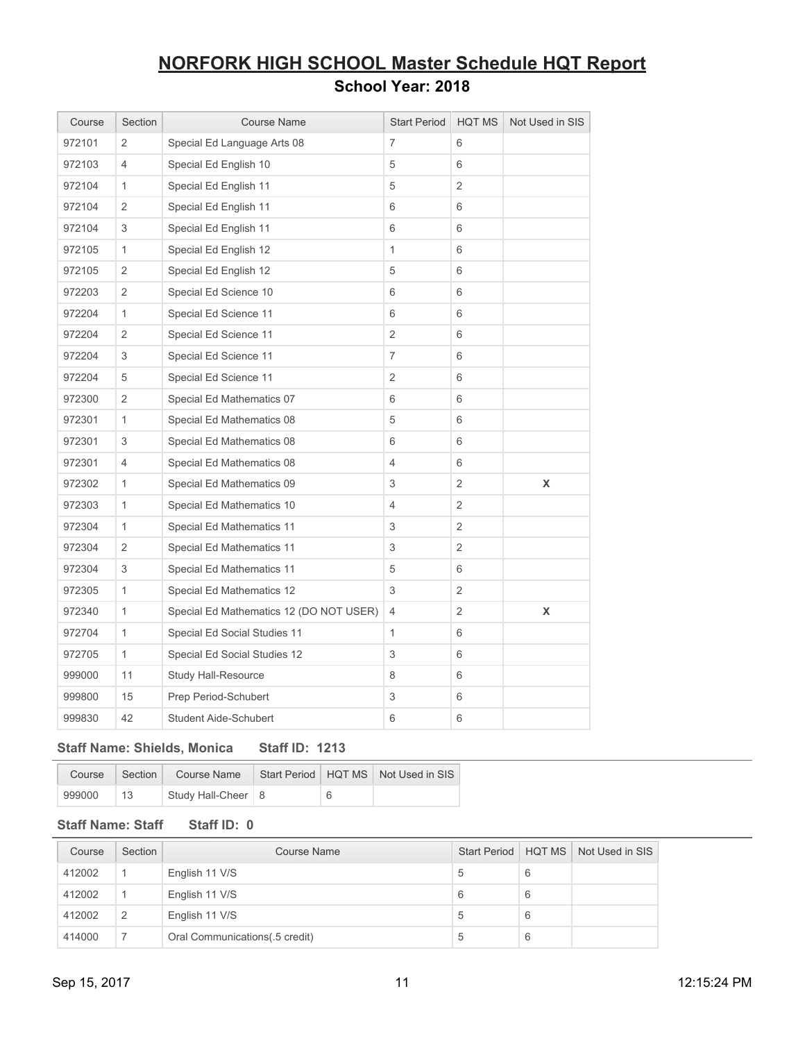| Course | Section        | <b>Course Name</b>                      | <b>Start Period</b> | <b>HQT MS</b>  | Not Used in SIS |
|--------|----------------|-----------------------------------------|---------------------|----------------|-----------------|
| 972101 | 2              | Special Ed Language Arts 08             | 7                   | 6              |                 |
| 972103 | 4              | Special Ed English 10                   | 5                   | 6              |                 |
| 972104 | $\mathbf{1}$   | Special Ed English 11                   | 5                   | $\overline{2}$ |                 |
| 972104 | 2              | Special Ed English 11                   | 6                   | 6              |                 |
| 972104 | 3              | Special Ed English 11                   | 6                   | 6              |                 |
| 972105 | $\mathbf{1}$   | Special Ed English 12                   | $\mathbf{1}$        | 6              |                 |
| 972105 | $\overline{2}$ | Special Ed English 12                   | 5                   | 6              |                 |
| 972203 | $\overline{2}$ | Special Ed Science 10                   | 6                   | 6              |                 |
| 972204 | $\mathbf{1}$   | Special Ed Science 11                   | 6                   | 6              |                 |
| 972204 | $\overline{2}$ | Special Ed Science 11                   | $\overline{2}$      | 6              |                 |
| 972204 | 3              | Special Ed Science 11                   | $\overline{7}$      | 6              |                 |
| 972204 | 5              | Special Ed Science 11                   | $\overline{2}$      | 6              |                 |
| 972300 | $\overline{2}$ | Special Ed Mathematics 07               | 6                   | 6              |                 |
| 972301 | $\mathbf{1}$   | Special Ed Mathematics 08               | 5                   | 6              |                 |
| 972301 | 3              | Special Ed Mathematics 08               | 6                   | 6              |                 |
| 972301 | 4              | Special Ed Mathematics 08               | 4                   | 6              |                 |
| 972302 | $\mathbf{1}$   | Special Ed Mathematics 09               | 3                   | $\overline{2}$ | X               |
| 972303 | $\mathbf{1}$   | Special Ed Mathematics 10               | 4                   | 2              |                 |
| 972304 | $\mathbf{1}$   | Special Ed Mathematics 11               | 3                   | 2              |                 |
| 972304 | 2              | Special Ed Mathematics 11               | 3                   | 2              |                 |
| 972304 | 3              | Special Ed Mathematics 11               | 5                   | 6              |                 |
| 972305 | 1              | Special Ed Mathematics 12               | 3                   | 2              |                 |
| 972340 | $\mathbf{1}$   | Special Ed Mathematics 12 (DO NOT USER) | 4                   | 2              | X               |
| 972704 | $\mathbf{1}$   | Special Ed Social Studies 11            | $\mathbf{1}$        | 6              |                 |
| 972705 | 1              | Special Ed Social Studies 12            | 3                   | 6              |                 |
| 999000 | 11             | Study Hall-Resource                     | 8                   | 6              |                 |
| 999800 | 15             | Prep Period-Schubert                    | 3                   | 6              |                 |
| 999830 | 42             | Student Aide-Schubert                   | 6                   | 6              |                 |

### **Staff Name: Shields, Monica Staff ID: 1213**

| Course |               | Section Course Name  |   | Start Period   HQT MS   Not Used in SIS |
|--------|---------------|----------------------|---|-----------------------------------------|
| 999000 | $^{\circ}$ 13 | Study Hall-Cheer   8 | 6 |                                         |

### **Staff Name: Staff Staff ID: 0**

| Course | Section        | <b>Course Name</b>              | Start Period   HQT MS |   | Not Used in SIS |
|--------|----------------|---------------------------------|-----------------------|---|-----------------|
| 412002 |                | English 11 V/S                  | 5                     | 6 |                 |
| 412002 |                | English 11 V/S                  |                       | 6 |                 |
| 412002 | $\overline{2}$ | English 11 V/S                  | 5                     | 6 |                 |
| 414000 |                | Oral Communications (.5 credit) | 5                     | 6 |                 |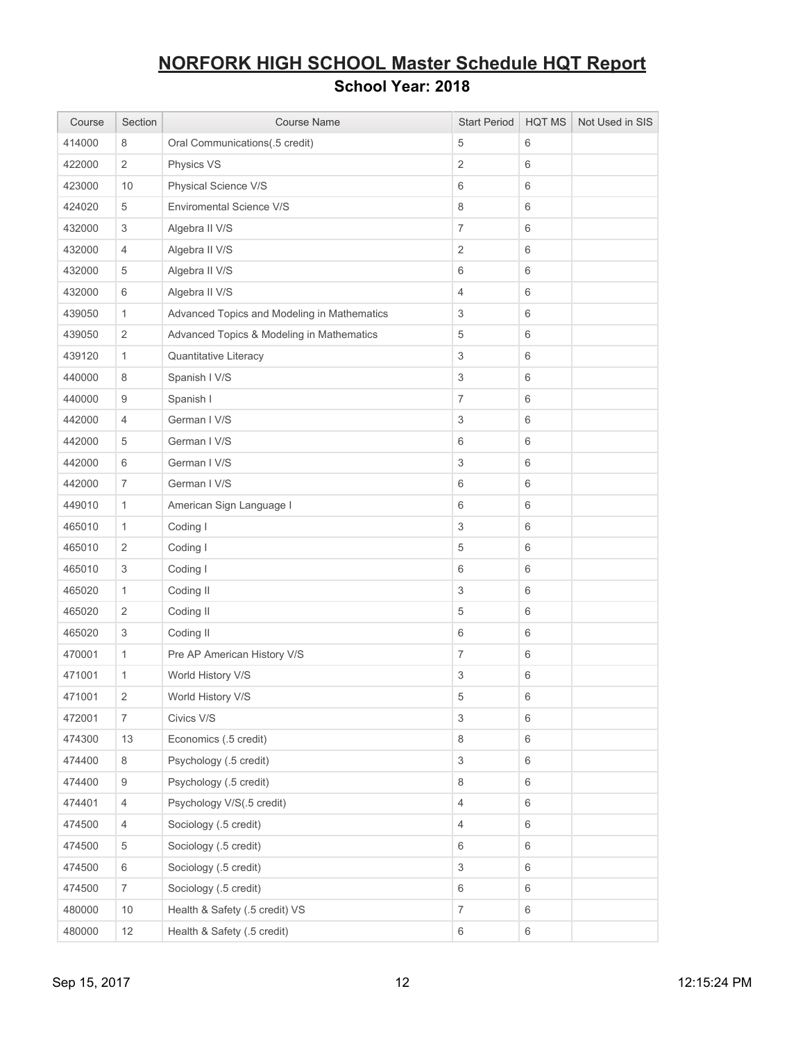| Course | Section          | <b>Course Name</b>                          | <b>Start Period</b> | <b>HQT MS</b> | Not Used in SIS |
|--------|------------------|---------------------------------------------|---------------------|---------------|-----------------|
| 414000 | 8                | Oral Communications(.5 credit)              | 5                   | 6             |                 |
| 422000 | $\mathbf{2}$     | Physics VS                                  | $\overline{2}$      | 6             |                 |
| 423000 | 10               | Physical Science V/S                        | 6                   | $\,6\,$       |                 |
| 424020 | 5                | Enviromental Science V/S                    | 8                   | 6             |                 |
| 432000 | 3                | Algebra II V/S                              | $\overline{7}$      | 6             |                 |
| 432000 | $\overline{4}$   | Algebra II V/S                              | $\overline{2}$      | 6             |                 |
| 432000 | 5                | Algebra II V/S                              | 6                   | 6             |                 |
| 432000 | 6                | Algebra II V/S                              | 4                   | 6             |                 |
| 439050 | $\mathbf{1}$     | Advanced Topics and Modeling in Mathematics | 3                   | 6             |                 |
| 439050 | $\overline{2}$   | Advanced Topics & Modeling in Mathematics   | 5                   | 6             |                 |
| 439120 | $\mathbf{1}$     | Quantitative Literacy                       | 3                   | $\,6\,$       |                 |
| 440000 | 8                | Spanish I V/S                               | 3                   | 6             |                 |
| 440000 | $\boldsymbol{9}$ | Spanish I                                   | 7                   | 6             |                 |
| 442000 | $\overline{4}$   | German I V/S                                | 3                   | 6             |                 |
| 442000 | $\,$ 5 $\,$      | German I V/S                                | 6                   | 6             |                 |
| 442000 | 6                | German I V/S                                | 3                   | $\,6\,$       |                 |
| 442000 | $\overline{7}$   | German I V/S                                | 6                   | 6             |                 |
| 449010 | $\mathbf{1}$     | American Sign Language I                    | 6                   | 6             |                 |
| 465010 | $\mathbf{1}$     | Coding I                                    | 3                   | 6             |                 |
| 465010 | $\overline{2}$   | Coding I                                    | 5                   | 6             |                 |
| 465010 | 3                | Coding I                                    | 6                   | 6             |                 |
| 465020 | $\mathbf{1}$     | Coding II                                   | 3                   | 6             |                 |
| 465020 | $\sqrt{2}$       | Coding II                                   | 5                   | 6             |                 |
| 465020 | 3                | Coding II                                   | 6                   | 6             |                 |
| 470001 | $\mathbf{1}$     | Pre AP American History V/S                 | $\overline{7}$      | 6             |                 |
| 471001 | $\mathbf{1}$     | World History V/S                           | 3                   | 6             |                 |
| 471001 | $\overline{2}$   | World History V/S                           | 5                   | 6             |                 |
| 472001 | $\overline{7}$   | Civics V/S                                  | 3                   | $\,6\,$       |                 |
| 474300 | 13               | Economics (.5 credit)                       | 8                   | 6             |                 |
| 474400 | 8                | Psychology (.5 credit)                      | $\,$ 3 $\,$         | 6             |                 |
| 474400 | 9                | Psychology (.5 credit)                      | 8                   | 6             |                 |
| 474401 | $\overline{4}$   | Psychology V/S(.5 credit)                   | 4                   | 6             |                 |
| 474500 | $\overline{4}$   | Sociology (.5 credit)                       | $\overline{4}$      | 6             |                 |
| 474500 | $\,$ 5 $\,$      | Sociology (.5 credit)                       | 6                   | 6             |                 |
| 474500 | $\,6\,$          | Sociology (.5 credit)                       | 3                   | $\,6\,$       |                 |
| 474500 | $\boldsymbol{7}$ | Sociology (.5 credit)                       | 6                   | 6             |                 |
| 480000 | 10               | Health & Safety (.5 credit) VS              | $\overline{7}$      | 6             |                 |
| 480000 | 12               | Health & Safety (.5 credit)                 | 6                   | $\,6\,$       |                 |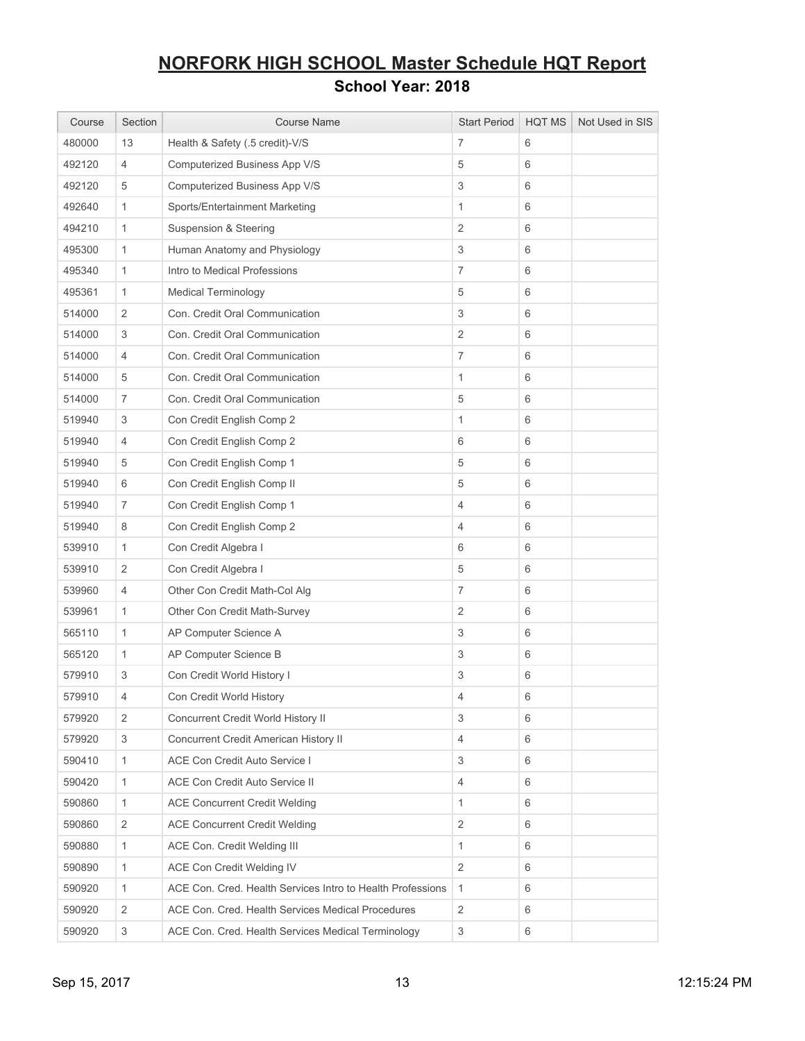| Course | Section                   | <b>Course Name</b>                                         | <b>Start Period</b>       | <b>HQT MS</b> | Not Used in SIS |
|--------|---------------------------|------------------------------------------------------------|---------------------------|---------------|-----------------|
| 480000 | 13                        | Health & Safety (.5 credit)-V/S                            | 7                         | 6             |                 |
| 492120 | 4                         | Computerized Business App V/S                              | 5                         | 6             |                 |
| 492120 | 5                         | Computerized Business App V/S                              | $\ensuremath{\mathsf{3}}$ | 6             |                 |
| 492640 | $\mathbf{1}$              | Sports/Entertainment Marketing                             | $\mathbf{1}$              | 6             |                 |
| 494210 | $\mathbf{1}$              | Suspension & Steering                                      | $\sqrt{2}$                | 6             |                 |
| 495300 | $\mathbf{1}$              | Human Anatomy and Physiology                               | $\ensuremath{\mathsf{3}}$ | 6             |                 |
| 495340 | $\mathbf{1}$              | Intro to Medical Professions                               | $\overline{7}$            | 6             |                 |
| 495361 | $\mathbf{1}$              | <b>Medical Terminology</b>                                 | 5                         | 6             |                 |
| 514000 | $\overline{2}$            | Con. Credit Oral Communication                             | 3                         | 6             |                 |
| 514000 | 3                         | Con. Credit Oral Communication                             | $\overline{2}$            | 6             |                 |
| 514000 | 4                         | Con. Credit Oral Communication                             | $\overline{7}$            | 6             |                 |
| 514000 | 5                         | Con. Credit Oral Communication                             | $\mathbf{1}$              | 6             |                 |
| 514000 | $\overline{7}$            | Con. Credit Oral Communication                             | 5                         | 6             |                 |
| 519940 | 3                         | Con Credit English Comp 2                                  | $\mathbf{1}$              | 6             |                 |
| 519940 | 4                         | Con Credit English Comp 2                                  | 6                         | 6             |                 |
| 519940 | 5                         | Con Credit English Comp 1                                  | 5                         | 6             |                 |
| 519940 | 6                         | Con Credit English Comp II                                 | 5                         | 6             |                 |
| 519940 | 7                         | Con Credit English Comp 1                                  | 4                         | 6             |                 |
| 519940 | 8                         | Con Credit English Comp 2                                  | 4                         | 6             |                 |
| 539910 | $\mathbf{1}$              | Con Credit Algebra I                                       | 6                         | 6             |                 |
| 539910 | 2                         | Con Credit Algebra I                                       | 5                         | 6             |                 |
| 539960 | 4                         | Other Con Credit Math-Col Alg                              | $\overline{7}$            | 6             |                 |
| 539961 | $\mathbf{1}$              | Other Con Credit Math-Survey                               | $\sqrt{2}$                | 6             |                 |
| 565110 | $\mathbf{1}$              | AP Computer Science A                                      | 3                         | 6             |                 |
| 565120 | $\mathbf{1}$              | AP Computer Science B                                      | 3                         | 6             |                 |
| 579910 | 3                         | Con Credit World History I                                 | 3                         | 6             |                 |
| 579910 | 4                         | Con Credit World History                                   | 4                         | 6             |                 |
| 579920 | 2                         | Concurrent Credit World History II                         | 3                         | 6             |                 |
| 579920 | 3                         | Concurrent Credit American History II                      | 4                         | 6             |                 |
| 590410 | $\mathbf{1}$              | ACE Con Credit Auto Service I                              | 3                         | 6             |                 |
| 590420 | $\mathbf{1}$              | ACE Con Credit Auto Service II                             | 4                         | 6             |                 |
| 590860 | $\mathbf{1}$              | <b>ACE Concurrent Credit Welding</b>                       | $\mathbf{1}$              | 6             |                 |
| 590860 | $\sqrt{2}$                | <b>ACE Concurrent Credit Welding</b>                       | $\sqrt{2}$                | 6             |                 |
| 590880 | $\mathbf{1}$              | ACE Con. Credit Welding III                                | 1                         | 6             |                 |
| 590890 | $\mathbf{1}$              | ACE Con Credit Welding IV                                  | $\mathbf{2}$              | 6             |                 |
| 590920 | $\mathbf{1}$              | ACE Con. Cred. Health Services Intro to Health Professions | $\mathbf{1}$              | 6             |                 |
| 590920 | $\overline{2}$            | ACE Con. Cred. Health Services Medical Procedures          | $\overline{2}$            | 6             |                 |
| 590920 | $\ensuremath{\mathsf{3}}$ | ACE Con. Cred. Health Services Medical Terminology         | $\ensuremath{\mathsf{3}}$ | 6             |                 |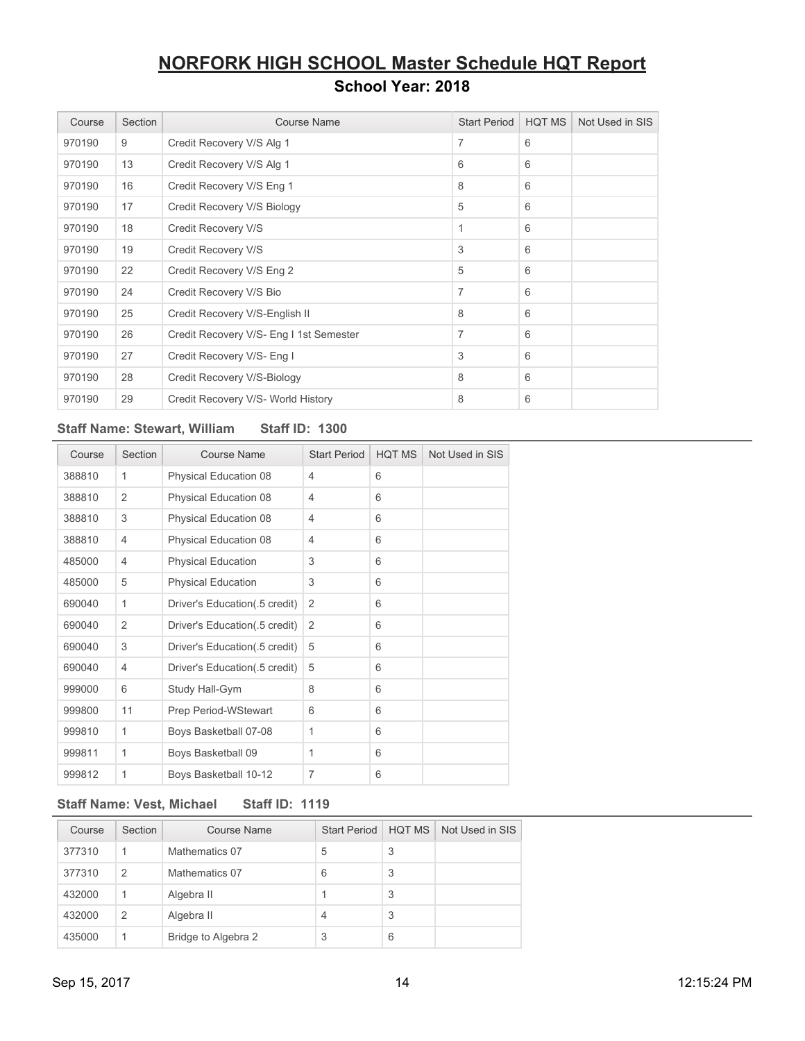| Course | Section | <b>Course Name</b>                      | <b>Start Period</b> | <b>HQT MS</b> | Not Used in SIS |
|--------|---------|-----------------------------------------|---------------------|---------------|-----------------|
| 970190 | 9       | Credit Recovery V/S Alg 1               | 7                   | 6             |                 |
| 970190 | 13      | Credit Recovery V/S Alg 1               | 6                   | 6             |                 |
| 970190 | 16      | Credit Recovery V/S Eng 1               | 8                   | 6             |                 |
| 970190 | 17      | Credit Recovery V/S Biology             | 5                   | 6             |                 |
| 970190 | 18      | Credit Recovery V/S                     | 1                   | 6             |                 |
| 970190 | 19      | Credit Recovery V/S                     | 3                   | 6             |                 |
| 970190 | 22      | Credit Recovery V/S Eng 2               | 5                   | 6             |                 |
| 970190 | 24      | Credit Recovery V/S Bio                 | 7                   | 6             |                 |
| 970190 | 25      | Credit Recovery V/S-English II          | 8                   | 6             |                 |
| 970190 | 26      | Credit Recovery V/S- Eng I 1st Semester | 7                   | 6             |                 |
| 970190 | 27      | Credit Recovery V/S- Eng I              | 3                   | 6             |                 |
| 970190 | 28      | Credit Recovery V/S-Biology             | 8                   | 6             |                 |
| 970190 | 29      | Credit Recovery V/S- World History      | 8                   | 6             |                 |

### **Staff Name: Stewart, William Staff ID: 1300**

| Course | Section        | Course Name                   | <b>Start Period</b> | <b>HQT MS</b> | Not Used in SIS |
|--------|----------------|-------------------------------|---------------------|---------------|-----------------|
| 388810 | 1              | Physical Education 08         | 4                   | 6             |                 |
| 388810 | $\overline{2}$ | Physical Education 08         | 4                   | 6             |                 |
| 388810 | 3              | Physical Education 08         | 4                   | 6             |                 |
| 388810 | 4              | Physical Education 08         | 4                   | 6             |                 |
| 485000 | 4              | <b>Physical Education</b>     | 3                   | 6             |                 |
| 485000 | 5              | <b>Physical Education</b>     | 3                   | 6             |                 |
| 690040 | 1              | Driver's Education(.5 credit) | $\overline{2}$      | 6             |                 |
| 690040 | $\overline{2}$ | Driver's Education(.5 credit) | $\overline{2}$      | 6             |                 |
| 690040 | 3              | Driver's Education(.5 credit) | 5                   | 6             |                 |
| 690040 | $\overline{4}$ | Driver's Education(.5 credit) | 5                   | 6             |                 |
| 999000 | 6              | Study Hall-Gym                | 8                   | 6             |                 |
| 999800 | 11             | Prep Period-WStewart          | 6                   | 6             |                 |
| 999810 | 1              | Boys Basketball 07-08         | 1                   | 6             |                 |
| 999811 | 1              | Boys Basketball 09            | 1                   | 6             |                 |
| 999812 | 1              | Boys Basketball 10-12         | 7                   | 6             |                 |

### **Staff Name: Vest, Michael Staff ID: 1119**

| Course | Section        | Course Name         | <b>Start Period</b> | HOT MS | Not Used in SIS |
|--------|----------------|---------------------|---------------------|--------|-----------------|
| 377310 | 1              | Mathematics 07      | 5                   | 3      |                 |
| 377310 | $\mathfrak{p}$ | Mathematics 07      | 6                   | 3      |                 |
| 432000 | 1              | Algebra II          |                     | 3      |                 |
| 432000 | $\overline{2}$ | Algebra II          | 4                   | 3      |                 |
| 435000 |                | Bridge to Algebra 2 | 3                   | 6      |                 |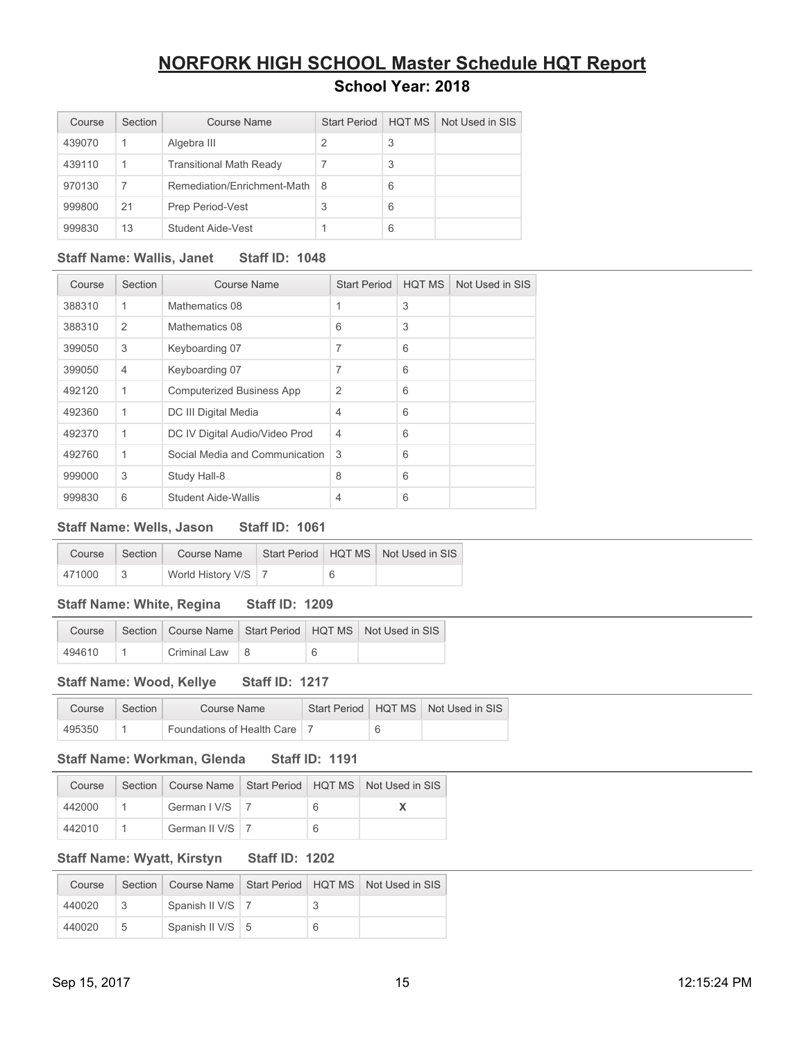| Course | Section | Course Name                    | <b>Start Period</b> | <b>HQT MS</b> | Not Used in SIS |
|--------|---------|--------------------------------|---------------------|---------------|-----------------|
| 439070 |         | Algebra III                    | 2                   | 3             |                 |
| 439110 |         | <b>Transitional Math Ready</b> |                     | 3             |                 |
| 970130 | 7       | Remediation/Enrichment-Math    | 8                   | 6             |                 |
| 999800 | 21      | Prep Period-Vest               | 3                   | 6             |                 |
| 999830 | 13      | Student Aide-Vest              |                     | 6             |                 |

### **Staff Name: Wallis, Janet Staff ID: 1048**

| Course | Section        | Course Name                      | <b>Start Period</b> | <b>HQT MS</b> | Not Used in SIS |
|--------|----------------|----------------------------------|---------------------|---------------|-----------------|
| 388310 | $\mathbf 1$    | Mathematics 08                   | 1                   | 3             |                 |
| 388310 | 2              | Mathematics 08                   | 6                   | 3             |                 |
| 399050 | 3              | Keyboarding 07                   | 7                   | 6             |                 |
| 399050 | $\overline{4}$ | Keyboarding 07                   | 7                   | 6             |                 |
| 492120 | $\mathbf 1$    | <b>Computerized Business App</b> | $\overline{2}$      | 6             |                 |
| 492360 | $\mathbf 1$    | DC III Digital Media             | $\overline{4}$      | 6             |                 |
| 492370 | 1              | DC IV Digital Audio/Video Prod   | $\overline{4}$      | 6             |                 |
| 492760 | 1              | Social Media and Communication   | 3                   | 6             |                 |
| 999000 | 3              | Study Hall-8                     | 8                   | 6             |                 |
| 999830 | 6              | Student Aide-Wallis              | $\overline{4}$      | 6             |                 |

### **Staff Name: Wells, Jason Staff ID: 1061**

| Course | Section | Course Name           |  | Start Period   HQT MS   Not Used in SIS |
|--------|---------|-----------------------|--|-----------------------------------------|
| 471000 |         | World History V/S   7 |  |                                         |

### **Staff Name: White, Regina Staff ID: 1209**

| Course |                        |  | Section   Course Name   Start Period   HQT MS   Not Used in SIS |
|--------|------------------------|--|-----------------------------------------------------------------|
| 494610 | Criminal Law $\vert$ 8 |  |                                                                 |

#### **Staff Name: Wood, Kellye Staff ID: 1217**

| Course | Section | Course Name                             |  | Start Period   HQT MS   Not Used in SIS |
|--------|---------|-----------------------------------------|--|-----------------------------------------|
| 495350 |         | <sup>'</sup> Foundations of Health Care |  |                                         |

### **Staff Name: Workman, Glenda Staff ID: 1191**

| Course |                           |   | Section   Course Name   Start Period   HQT MS   Not Used in SIS |
|--------|---------------------------|---|-----------------------------------------------------------------|
| 442000 | German $1 \text{V/S}$   7 | 6 |                                                                 |
| 442010 | German II V/S   7         | 6 |                                                                 |

### **Staff Name: Wyatt, Kirstyn Staff ID: 1202**

| Course |   |                    |   | Section   Course Name   Start Period   HQT MS   Not Used in SIS |
|--------|---|--------------------|---|-----------------------------------------------------------------|
| 440020 |   | Spanish II V/S   7 |   |                                                                 |
| 440020 | 5 | Spanish II V/S   5 | 6 |                                                                 |